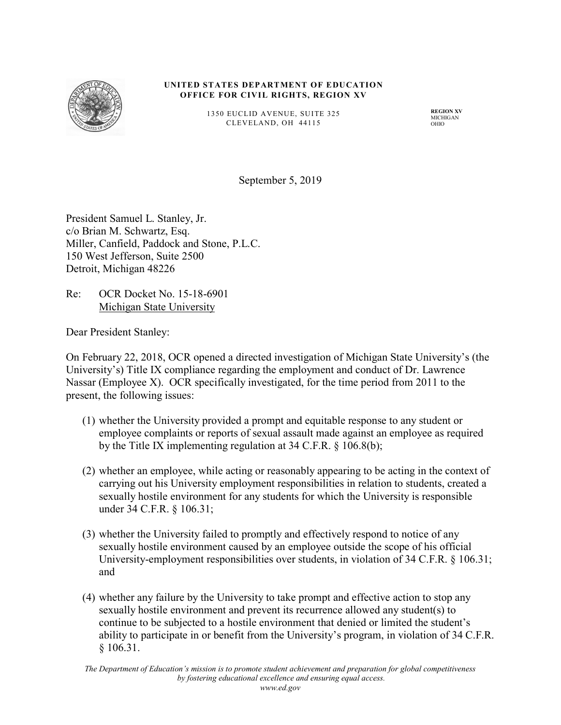

#### **UNITED STATES DEPARTMENT OF EDUCATION OFFICE FOR CIVIL RIGHTS, REGION XV**

1350 EUCLID AVENUE, SUITE 325 CLEVELAND, OH 44115

**REGION XV** MICHIGAN OHIO

September 5, 2019

President Samuel L. Stanley, Jr. c/o Brian M. Schwartz, Esq. Miller, Canfield, Paddock and Stone, P.L.C. 150 West Jefferson, Suite 2500 Detroit, Michigan 48226

Re: OCR Docket No. 15-18-6901 Michigan State University

Dear President Stanley:

On February 22, 2018, OCR opened a directed investigation of Michigan State University's (the University's) Title IX compliance regarding the employment and conduct of Dr. Lawrence Nassar (Employee X). OCR specifically investigated, for the time period from 2011 to the present, the following issues:

- (1) whether the University provided a prompt and equitable response to any student or employee complaints or reports of sexual assault made against an employee as required by the Title IX implementing regulation at 34 C.F.R. § 106.8(b);
- (2) whether an employee, while acting or reasonably appearing to be acting in the context of carrying out his University employment responsibilities in relation to students, created a sexually hostile environment for any students for which the University is responsible under 34 C.F.R. § 106.31;
- (3) whether the University failed to promptly and effectively respond to notice of any sexually hostile environment caused by an employee outside the scope of his official University-employment responsibilities over students, in violation of 34 C.F.R. § 106.31; and
- (4) whether any failure by the University to take prompt and effective action to stop any sexually hostile environment and prevent its recurrence allowed any student(s) to continue to be subjected to a hostile environment that denied or limited the student's ability to participate in or benefit from the University's program, in violation of 34 C.F.R. § 106.31.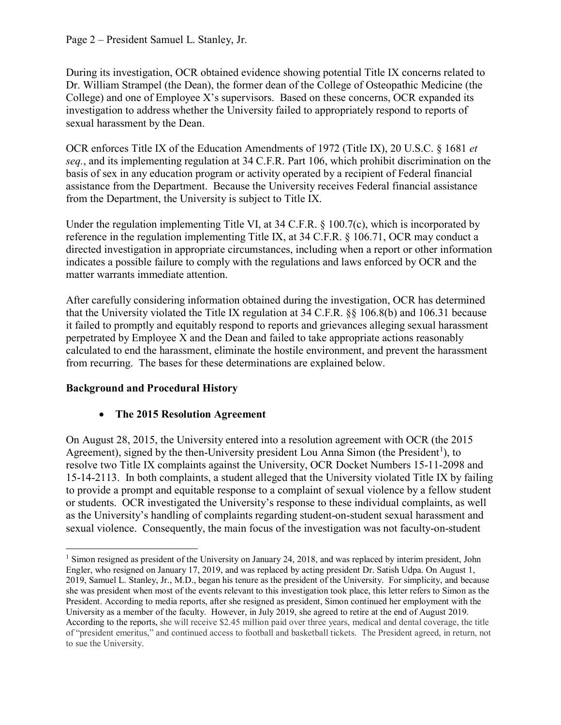During its investigation, OCR obtained evidence showing potential Title IX concerns related to Dr. William Strampel (the Dean), the former dean of the College of Osteopathic Medicine (the College) and one of Employee X's supervisors. Based on these concerns, OCR expanded its investigation to address whether the University failed to appropriately respond to reports of sexual harassment by the Dean.

OCR enforces Title IX of the Education Amendments of 1972 (Title IX), 20 U.S.C. § 1681 *et seq.*, and its implementing regulation at 34 C.F.R. Part 106, which prohibit discrimination on the basis of sex in any education program or activity operated by a recipient of Federal financial assistance from the Department. Because the University receives Federal financial assistance from the Department, the University is subject to Title IX.

Under the regulation implementing Title VI, at 34 C.F.R. § 100.7(c), which is incorporated by reference in the regulation implementing Title IX, at 34 C.F.R. § 106.71, OCR may conduct a directed investigation in appropriate circumstances, including when a report or other information indicates a possible failure to comply with the regulations and laws enforced by OCR and the matter warrants immediate attention.

After carefully considering information obtained during the investigation, OCR has determined that the University violated the Title IX regulation at 34 C.F.R. §§ 106.8(b) and 106.31 because it failed to promptly and equitably respond to reports and grievances alleging sexual harassment perpetrated by Employee X and the Dean and failed to take appropriate actions reasonably calculated to end the harassment, eliminate the hostile environment, and prevent the harassment from recurring. The bases for these determinations are explained below.

## **Background and Procedural History**

## • **The 2015 Resolution Agreement**

On August 28, 2015, the University entered into a resolution agreement with OCR (the 2015 Agreement), signed by the then-University president Lou Anna Simon (the President<sup>[1](#page-1-0)</sup>), to resolve two Title IX complaints against the University, OCR Docket Numbers 15-11-2098 and 15-14-2113. In both complaints, a student alleged that the University violated Title IX by failing to provide a prompt and equitable response to a complaint of sexual violence by a fellow student or students. OCR investigated the University's response to these individual complaints, as well as the University's handling of complaints regarding student-on-student sexual harassment and sexual violence. Consequently, the main focus of the investigation was not faculty-on-student

<span id="page-1-0"></span><sup>&</sup>lt;sup>1</sup> Simon resigned as president of the University on January 24, 2018, and was replaced by interim president, John Engler, who resigned on January 17, 2019, and was replaced by acting president Dr. Satish Udpa. On August 1, 2019, Samuel L. Stanley, Jr., M.D., began his tenure as the president of the University. For simplicity, and because she was president when most of the events relevant to this investigation took place, this letter refers to Simon as the President. According to media reports, after she resigned as president, Simon continued her employment with the University as a member of the faculty. However, in July 2019, she agreed to retire at the end of August 2019. According to the reports, she will receive \$2.45 million paid over three years, medical and dental coverage, the title of "president emeritus," and continued access to football and basketball tickets. The President agreed, in return, not to sue the University.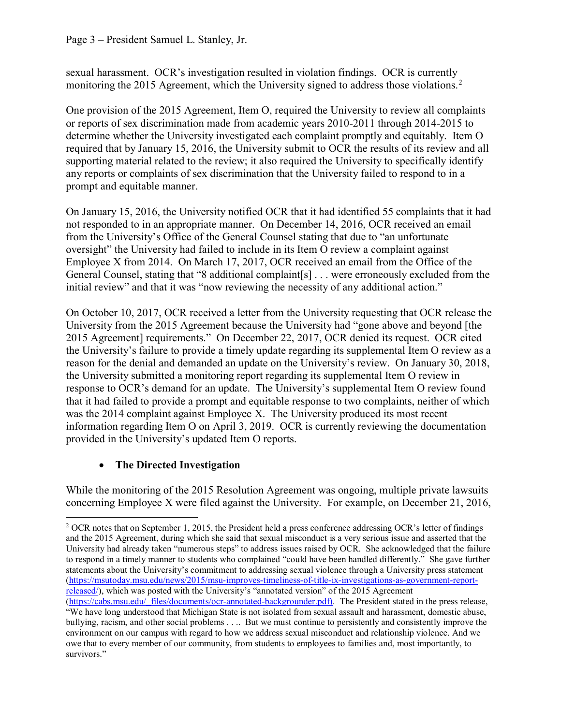sexual harassment. OCR's investigation resulted in violation findings. OCR is currently monitoring the [2](#page-2-0)015 Agreement, which the University signed to address those violations.<sup>2</sup>

One provision of the 2015 Agreement, Item O, required the University to review all complaints or reports of sex discrimination made from academic years 2010-2011 through 2014-2015 to determine whether the University investigated each complaint promptly and equitably. Item O required that by January 15, 2016, the University submit to OCR the results of its review and all supporting material related to the review; it also required the University to specifically identify any reports or complaints of sex discrimination that the University failed to respond to in a prompt and equitable manner.

On January 15, 2016, the University notified OCR that it had identified 55 complaints that it had not responded to in an appropriate manner. On December 14, 2016, OCR received an email from the University's Office of the General Counsel stating that due to "an unfortunate oversight" the University had failed to include in its Item O review a complaint against Employee X from 2014. On March 17, 2017, OCR received an email from the Office of the General Counsel, stating that "8 additional complaint[s] . . . were erroneously excluded from the initial review" and that it was "now reviewing the necessity of any additional action."

On October 10, 2017, OCR received a letter from the University requesting that OCR release the University from the 2015 Agreement because the University had "gone above and beyond [the 2015 Agreement] requirements." On December 22, 2017, OCR denied its request. OCR cited the University's failure to provide a timely update regarding its supplemental Item O review as a reason for the denial and demanded an update on the University's review. On January 30, 2018, the University submitted a monitoring report regarding its supplemental Item O review in response to OCR's demand for an update. The University's supplemental Item O review found that it had failed to provide a prompt and equitable response to two complaints, neither of which was the 2014 complaint against Employee X. The University produced its most recent information regarding Item O on April 3, 2019. OCR is currently reviewing the documentation provided in the University's updated Item O reports.

## • **The Directed Investigation**

While the monitoring of the 2015 Resolution Agreement was ongoing, multiple private lawsuits concerning Employee X were filed against the University. For example, on December 21, 2016,

<span id="page-2-0"></span><sup>&</sup>lt;sup>2</sup> OCR notes that on September 1, 2015, the President held a press conference addressing OCR's letter of findings and the 2015 Agreement, during which she said that sexual misconduct is a very serious issue and asserted that the University had already taken "numerous steps" to address issues raised by OCR. She acknowledged that the failure to respond in a timely manner to students who complained "could have been handled differently." She gave further statements about the University's commitment to addressing sexual violence through a University press statement [\(https://msutoday.msu.edu/news/2015/msu-improves-timeliness-of-title-ix-investigations-as-government-report](https://msutoday.msu.edu/news/2015/msu-improves-timeliness-of-title-ix-investigations-as-government-report-released/)[released/\)](https://msutoday.msu.edu/news/2015/msu-improves-timeliness-of-title-ix-investigations-as-government-report-released/), which was posted with the University's "annotated version" of the 2015 Agreement

[<sup>\(</sup>https://cabs.msu.edu/\\_files/documents/ocr-annotated-backgrounder.pdf\)](https://cabs.msu.edu/_files/documents/ocr-annotated-backgrounder.pdf). The President stated in the press release, "We have long understood that Michigan State is not isolated from sexual assault and harassment, domestic abuse, bullying, racism, and other social problems . . .. But we must continue to persistently and consistently improve the environment on our campus with regard to how we address sexual misconduct and relationship violence. And we owe that to every member of our community, from students to employees to families and, most importantly, to survivors."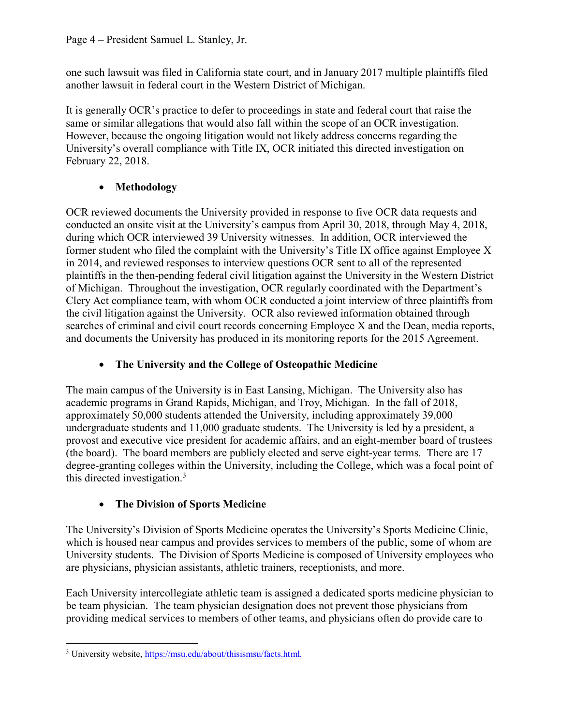one such lawsuit was filed in California state court, and in January 2017 multiple plaintiffs filed another lawsuit in federal court in the Western District of Michigan.

It is generally OCR's practice to defer to proceedings in state and federal court that raise the same or similar allegations that would also fall within the scope of an OCR investigation. However, because the ongoing litigation would not likely address concerns regarding the University's overall compliance with Title IX, OCR initiated this directed investigation on February 22, 2018.

# • **Methodology**

OCR reviewed documents the University provided in response to five OCR data requests and conducted an onsite visit at the University's campus from April 30, 2018, through May 4, 2018, during which OCR interviewed 39 University witnesses. In addition, OCR interviewed the former student who filed the complaint with the University's Title IX office against Employee X in 2014, and reviewed responses to interview questions OCR sent to all of the represented plaintiffs in the then-pending federal civil litigation against the University in the Western District of Michigan. Throughout the investigation, OCR regularly coordinated with the Department's Clery Act compliance team, with whom OCR conducted a joint interview of three plaintiffs from the civil litigation against the University. OCR also reviewed information obtained through searches of criminal and civil court records concerning Employee X and the Dean, media reports, and documents the University has produced in its monitoring reports for the 2015 Agreement.

# • **The University and the College of Osteopathic Medicine**

The main campus of the University is in East Lansing, Michigan. The University also has academic programs in Grand Rapids, Michigan, and Troy, Michigan. In the fall of 2018, approximately 50,000 students attended the University, including approximately 39,000 undergraduate students and 11,000 graduate students. The University is led by a president, a provost and executive vice president for academic affairs, and an eight-member board of trustees (the board). The board members are publicly elected and serve eight-year terms. There are 17 degree-granting colleges within the University, including the College, which was a focal point of this directed investigation.[3](#page-3-0)

# • **The Division of Sports Medicine**

The University's Division of Sports Medicine operates the University's Sports Medicine Clinic, which is housed near campus and provides services to members of the public, some of whom are University students. The Division of Sports Medicine is composed of University employees who are physicians, physician assistants, athletic trainers, receptionists, and more.

Each University intercollegiate athletic team is assigned a dedicated sports medicine physician to be team physician. The team physician designation does not prevent those physicians from providing medical services to members of other teams, and physicians often do provide care to

<span id="page-3-0"></span><sup>3</sup> University website, [https://msu.edu/about/thisismsu/facts.html.](https://msu.edu/about/thisismsu/facts.html)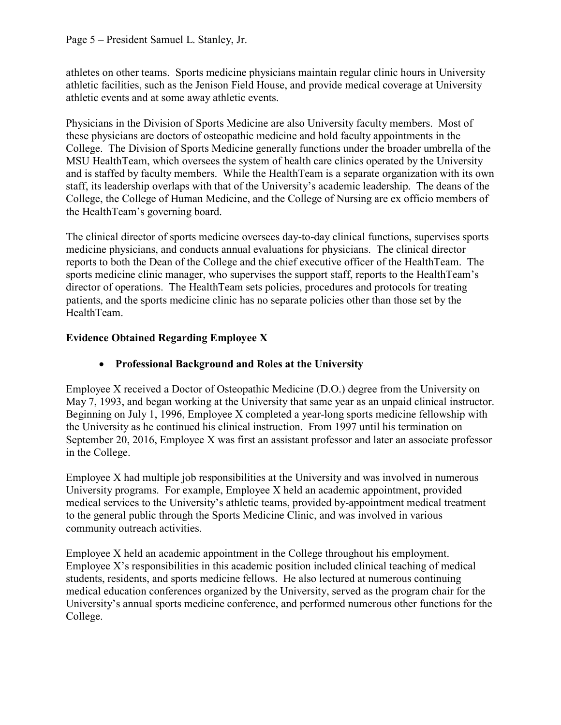athletes on other teams. Sports medicine physicians maintain regular clinic hours in University athletic facilities, such as the Jenison Field House, and provide medical coverage at University athletic events and at some away athletic events.

Physicians in the Division of Sports Medicine are also University faculty members. Most of these physicians are doctors of osteopathic medicine and hold faculty appointments in the College. The Division of Sports Medicine generally functions under the broader umbrella of the MSU HealthTeam, which oversees the system of health care clinics operated by the University and is staffed by faculty members. While the HealthTeam is a separate organization with its own staff, its leadership overlaps with that of the University's academic leadership. The deans of the College, the College of Human Medicine, and the College of Nursing are ex officio members of the HealthTeam's governing board.

The clinical director of sports medicine oversees day-to-day clinical functions, supervises sports medicine physicians, and conducts annual evaluations for physicians. The clinical director reports to both the Dean of the College and the chief executive officer of the HealthTeam. The sports medicine clinic manager, who supervises the support staff, reports to the HealthTeam's director of operations. The HealthTeam sets policies, procedures and protocols for treating patients, and the sports medicine clinic has no separate policies other than those set by the HealthTeam.

## **Evidence Obtained Regarding Employee X**

## • **Professional Background and Roles at the University**

Employee X received a Doctor of Osteopathic Medicine (D.O.) degree from the University on May 7, 1993, and began working at the University that same year as an unpaid clinical instructor. Beginning on July 1, 1996, Employee X completed a year-long sports medicine fellowship with the University as he continued his clinical instruction. From 1997 until his termination on September 20, 2016, Employee X was first an assistant professor and later an associate professor in the College.

Employee X had multiple job responsibilities at the University and was involved in numerous University programs. For example, Employee X held an academic appointment, provided medical services to the University's athletic teams, provided by-appointment medical treatment to the general public through the Sports Medicine Clinic, and was involved in various community outreach activities.

Employee X held an academic appointment in the College throughout his employment. Employee X's responsibilities in this academic position included clinical teaching of medical students, residents, and sports medicine fellows. He also lectured at numerous continuing medical education conferences organized by the University, served as the program chair for the University's annual sports medicine conference, and performed numerous other functions for the College.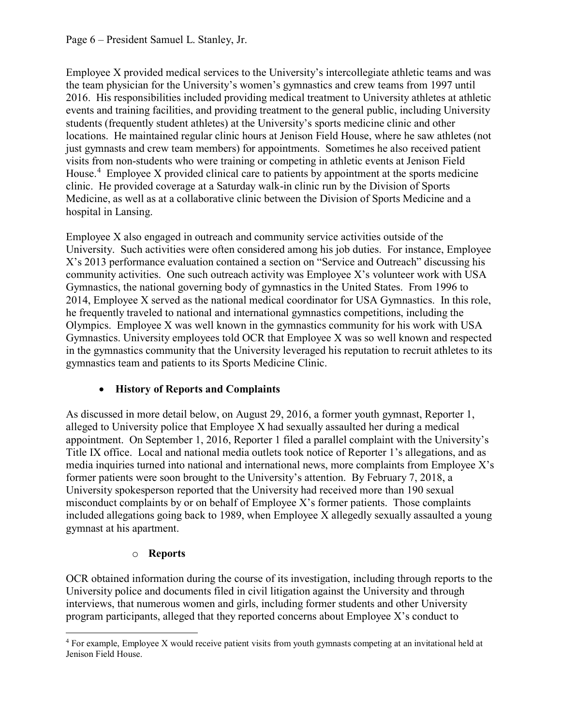Employee X provided medical services to the University's intercollegiate athletic teams and was the team physician for the University's women's gymnastics and crew teams from 1997 until 2016. His responsibilities included providing medical treatment to University athletes at athletic events and training facilities, and providing treatment to the general public, including University students (frequently student athletes) at the University's sports medicine clinic and other locations. He maintained regular clinic hours at Jenison Field House, where he saw athletes (not just gymnasts and crew team members) for appointments. Sometimes he also received patient visits from non-students who were training or competing in athletic events at Jenison Field House.<sup>[4](#page-5-0)</sup> Employee X provided clinical care to patients by appointment at the sports medicine clinic. He provided coverage at a Saturday walk-in clinic run by the Division of Sports Medicine, as well as at a collaborative clinic between the Division of Sports Medicine and a hospital in Lansing.

Employee X also engaged in outreach and community service activities outside of the University. Such activities were often considered among his job duties. For instance, Employee X's 2013 performance evaluation contained a section on "Service and Outreach" discussing his community activities. One such outreach activity was Employee X's volunteer work with USA Gymnastics, the national governing body of gymnastics in the United States. From 1996 to 2014, Employee X served as the national medical coordinator for USA Gymnastics. In this role, he frequently traveled to national and international gymnastics competitions, including the Olympics. Employee X was well known in the gymnastics community for his work with USA Gymnastics. University employees told OCR that Employee X was so well known and respected in the gymnastics community that the University leveraged his reputation to recruit athletes to its gymnastics team and patients to its Sports Medicine Clinic.

## • **History of Reports and Complaints**

As discussed in more detail below, on August 29, 2016, a former youth gymnast, Reporter 1, alleged to University police that Employee X had sexually assaulted her during a medical appointment. On September 1, 2016, Reporter 1 filed a parallel complaint with the University's Title IX office. Local and national media outlets took notice of Reporter 1's allegations, and as media inquiries turned into national and international news, more complaints from Employee X's former patients were soon brought to the University's attention. By February 7, 2018, a University spokesperson reported that the University had received more than 190 sexual misconduct complaints by or on behalf of Employee X's former patients. Those complaints included allegations going back to 1989, when Employee X allegedly sexually assaulted a young gymnast at his apartment.

## o **Reports**

OCR obtained information during the course of its investigation, including through reports to the University police and documents filed in civil litigation against the University and through interviews, that numerous women and girls, including former students and other University program participants, alleged that they reported concerns about Employee X's conduct to

<span id="page-5-0"></span><sup>&</sup>lt;sup>4</sup> For example, Employee X would receive patient visits from youth gymnasts competing at an invitational held at Jenison Field House.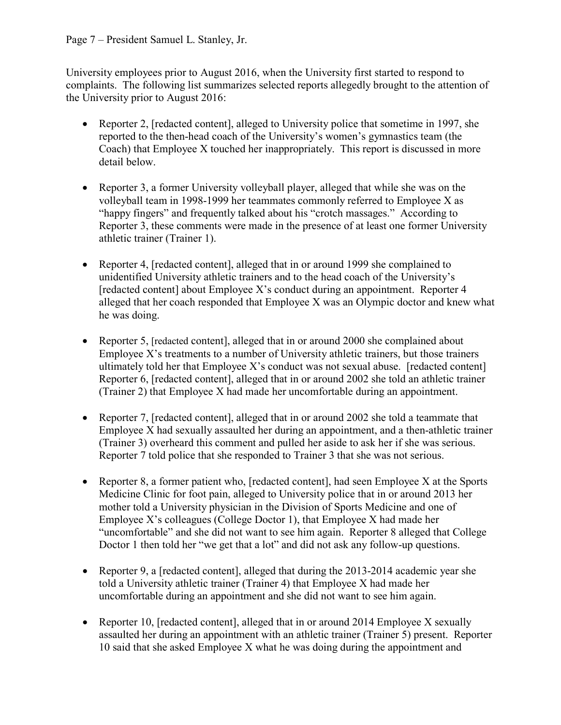### Page 7 – President Samuel L. Stanley, Jr.

University employees prior to August 2016, when the University first started to respond to complaints. The following list summarizes selected reports allegedly brought to the attention of the University prior to August 2016:

- Reporter 2, [redacted content], alleged to University police that sometime in 1997, she reported to the then-head coach of the University's women's gymnastics team (the Coach) that Employee X touched her inappropriately. This report is discussed in more detail below.
- Reporter 3, a former University volleyball player, alleged that while she was on the volleyball team in 1998-1999 her teammates commonly referred to Employee X as "happy fingers" and frequently talked about his "crotch massages." According to Reporter 3, these comments were made in the presence of at least one former University athletic trainer (Trainer 1).
- Reporter 4, [redacted content], alleged that in or around 1999 she complained to unidentified University athletic trainers and to the head coach of the University's [redacted content] about Employee X's conduct during an appointment. Reporter 4 alleged that her coach responded that Employee X was an Olympic doctor and knew what he was doing.
- Reporter 5, [redacted content], alleged that in or around 2000 she complained about Employee X's treatments to a number of University athletic trainers, but those trainers ultimately told her that Employee X's conduct was not sexual abuse. [redacted content] Reporter 6, [redacted content], alleged that in or around 2002 she told an athletic trainer (Trainer 2) that Employee X had made her uncomfortable during an appointment.
- Reporter 7, [redacted content], alleged that in or around 2002 she told a teammate that Employee X had sexually assaulted her during an appointment, and a then-athletic trainer (Trainer 3) overheard this comment and pulled her aside to ask her if she was serious. Reporter 7 told police that she responded to Trainer 3 that she was not serious.
- Reporter 8, a former patient who, [redacted content], had seen Employee X at the Sports Medicine Clinic for foot pain, alleged to University police that in or around 2013 her mother told a University physician in the Division of Sports Medicine and one of Employee X's colleagues (College Doctor 1), that Employee X had made her "uncomfortable" and she did not want to see him again. Reporter 8 alleged that College Doctor 1 then told her "we get that a lot" and did not ask any follow-up questions.
- Reporter 9, a [redacted content], alleged that during the 2013-2014 academic year she told a University athletic trainer (Trainer 4) that Employee X had made her uncomfortable during an appointment and she did not want to see him again.
- Reporter 10, [redacted content], alleged that in or around 2014 Employee X sexually assaulted her during an appointment with an athletic trainer (Trainer 5) present. Reporter 10 said that she asked Employee X what he was doing during the appointment and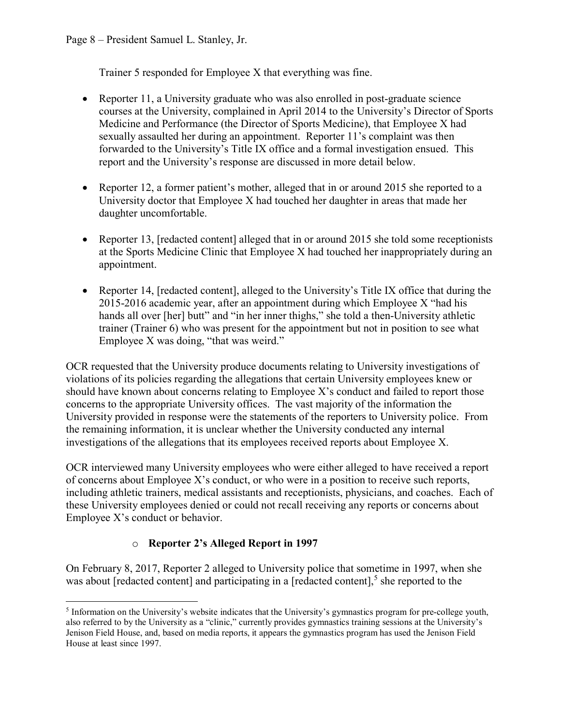Trainer 5 responded for Employee X that everything was fine.

- Reporter 11, a University graduate who was also enrolled in post-graduate science courses at the University, complained in April 2014 to the University's Director of Sports Medicine and Performance (the Director of Sports Medicine), that Employee X had sexually assaulted her during an appointment. Reporter 11's complaint was then forwarded to the University's Title IX office and a formal investigation ensued. This report and the University's response are discussed in more detail below.
- Reporter 12, a former patient's mother, alleged that in or around 2015 she reported to a University doctor that Employee X had touched her daughter in areas that made her daughter uncomfortable.
- Reporter 13, [redacted content] alleged that in or around 2015 she told some receptionists at the Sports Medicine Clinic that Employee X had touched her inappropriately during an appointment.
- Reporter 14, [redacted content], alleged to the University's Title IX office that during the 2015-2016 academic year, after an appointment during which Employee X "had his hands all over [her] butt" and "in her inner thighs," she told a then-University athletic trainer (Trainer 6) who was present for the appointment but not in position to see what Employee X was doing, "that was weird."

OCR requested that the University produce documents relating to University investigations of violations of its policies regarding the allegations that certain University employees knew or should have known about concerns relating to Employee X's conduct and failed to report those concerns to the appropriate University offices. The vast majority of the information the University provided in response were the statements of the reporters to University police. From the remaining information, it is unclear whether the University conducted any internal investigations of the allegations that its employees received reports about Employee X.

OCR interviewed many University employees who were either alleged to have received a report of concerns about Employee X's conduct, or who were in a position to receive such reports, including athletic trainers, medical assistants and receptionists, physicians, and coaches. Each of these University employees denied or could not recall receiving any reports or concerns about Employee X's conduct or behavior.

## o **Reporter 2's Alleged Report in 1997**

On February 8, 2017, Reporter 2 alleged to University police that sometime in 1997, when she was about [redacted content] and participating in a [redacted content], [5](#page-7-0) she reported to the

<span id="page-7-0"></span><sup>5</sup> Information on the University's website indicates that the University's gymnastics program for pre-college youth, also referred to by the University as a "clinic," currently provides gymnastics training sessions at the University's Jenison Field House, and, based on media reports, it appears the gymnastics program has used the Jenison Field House at least since 1997.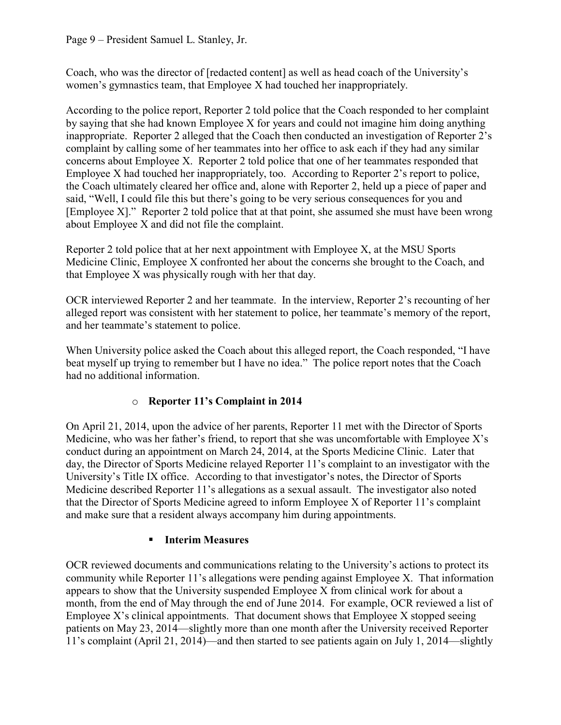### Page 9 – President Samuel L. Stanley, Jr.

Coach, who was the director of [redacted content] as well as head coach of the University's women's gymnastics team, that Employee X had touched her inappropriately.

According to the police report, Reporter 2 told police that the Coach responded to her complaint by saying that she had known Employee X for years and could not imagine him doing anything inappropriate. Reporter 2 alleged that the Coach then conducted an investigation of Reporter 2's complaint by calling some of her teammates into her office to ask each if they had any similar concerns about Employee X. Reporter 2 told police that one of her teammates responded that Employee X had touched her inappropriately, too. According to Reporter 2's report to police, the Coach ultimately cleared her office and, alone with Reporter 2, held up a piece of paper and said, "Well, I could file this but there's going to be very serious consequences for you and [Employee X]." Reporter 2 told police that at that point, she assumed she must have been wrong about Employee X and did not file the complaint.

Reporter 2 told police that at her next appointment with Employee X, at the MSU Sports Medicine Clinic, Employee X confronted her about the concerns she brought to the Coach, and that Employee X was physically rough with her that day.

OCR interviewed Reporter 2 and her teammate. In the interview, Reporter 2's recounting of her alleged report was consistent with her statement to police, her teammate's memory of the report, and her teammate's statement to police.

When University police asked the Coach about this alleged report, the Coach responded, "I have beat myself up trying to remember but I have no idea." The police report notes that the Coach had no additional information.

## o **Reporter 11's Complaint in 2014**

On April 21, 2014, upon the advice of her parents, Reporter 11 met with the Director of Sports Medicine, who was her father's friend, to report that she was uncomfortable with Employee X's conduct during an appointment on March 24, 2014, at the Sports Medicine Clinic. Later that day, the Director of Sports Medicine relayed Reporter 11's complaint to an investigator with the University's Title IX office. According to that investigator's notes, the Director of Sports Medicine described Reporter 11's allegations as a sexual assault. The investigator also noted that the Director of Sports Medicine agreed to inform Employee X of Reporter 11's complaint and make sure that a resident always accompany him during appointments.

## **Interim Measures**

OCR reviewed documents and communications relating to the University's actions to protect its community while Reporter 11's allegations were pending against Employee X. That information appears to show that the University suspended Employee X from clinical work for about a month, from the end of May through the end of June 2014. For example, OCR reviewed a list of Employee X's clinical appointments. That document shows that Employee X stopped seeing patients on May 23, 2014—slightly more than one month after the University received Reporter 11's complaint (April 21, 2014)—and then started to see patients again on July 1, 2014—slightly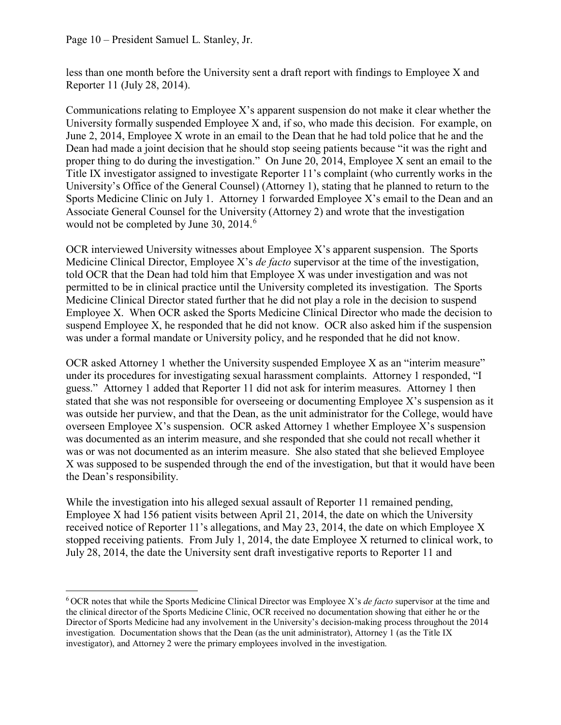Page 10 – President Samuel L. Stanley, Jr.

less than one month before the University sent a draft report with findings to Employee X and Reporter 11 (July 28, 2014).

Communications relating to Employee X's apparent suspension do not make it clear whether the University formally suspended Employee X and, if so, who made this decision. For example, on June 2, 2014, Employee X wrote in an email to the Dean that he had told police that he and the Dean had made a joint decision that he should stop seeing patients because "it was the right and proper thing to do during the investigation." On June 20, 2014, Employee X sent an email to the Title IX investigator assigned to investigate Reporter 11's complaint (who currently works in the University's Office of the General Counsel) (Attorney 1), stating that he planned to return to the Sports Medicine Clinic on July 1. Attorney 1 forwarded Employee X's email to the Dean and an Associate General Counsel for the University (Attorney 2) and wrote that the investigation would not be completed by June 30, 2014. [6](#page-9-0)

OCR interviewed University witnesses about Employee X's apparent suspension. The Sports Medicine Clinical Director, Employee X's *de facto* supervisor at the time of the investigation, told OCR that the Dean had told him that Employee X was under investigation and was not permitted to be in clinical practice until the University completed its investigation. The Sports Medicine Clinical Director stated further that he did not play a role in the decision to suspend Employee X. When OCR asked the Sports Medicine Clinical Director who made the decision to suspend Employee X, he responded that he did not know. OCR also asked him if the suspension was under a formal mandate or University policy, and he responded that he did not know.

OCR asked Attorney 1 whether the University suspended Employee X as an "interim measure" under its procedures for investigating sexual harassment complaints. Attorney 1 responded, "I guess." Attorney 1 added that Reporter 11 did not ask for interim measures. Attorney 1 then stated that she was not responsible for overseeing or documenting Employee X's suspension as it was outside her purview, and that the Dean, as the unit administrator for the College, would have overseen Employee X's suspension. OCR asked Attorney 1 whether Employee X's suspension was documented as an interim measure, and she responded that she could not recall whether it was or was not documented as an interim measure. She also stated that she believed Employee X was supposed to be suspended through the end of the investigation, but that it would have been the Dean's responsibility.

While the investigation into his alleged sexual assault of Reporter 11 remained pending, Employee X had 156 patient visits between April 21, 2014, the date on which the University received notice of Reporter 11's allegations, and May 23, 2014, the date on which Employee X stopped receiving patients. From July 1, 2014, the date Employee X returned to clinical work, to July 28, 2014, the date the University sent draft investigative reports to Reporter 11 and

<span id="page-9-0"></span><sup>6</sup> OCR notes that while the Sports Medicine Clinical Director was Employee X's *de facto* supervisor at the time and the clinical director of the Sports Medicine Clinic, OCR received no documentation showing that either he or the Director of Sports Medicine had any involvement in the University's decision-making process throughout the 2014 investigation. Documentation shows that the Dean (as the unit administrator), Attorney 1 (as the Title IX investigator), and Attorney 2 were the primary employees involved in the investigation.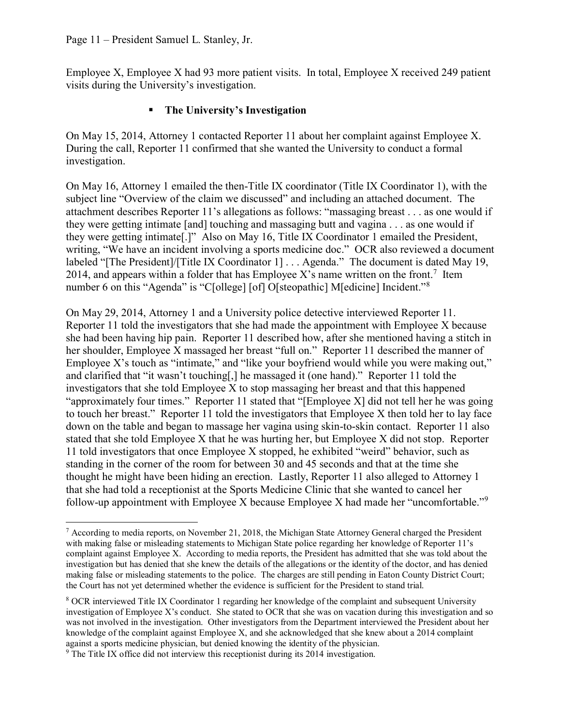Employee X, Employee X had 93 more patient visits. In total, Employee X received 249 patient visits during the University's investigation.

### **The University's Investigation**

On May 15, 2014, Attorney 1 contacted Reporter 11 about her complaint against Employee X. During the call, Reporter 11 confirmed that she wanted the University to conduct a formal investigation.

On May 16, Attorney 1 emailed the then-Title IX coordinator (Title IX Coordinator 1), with the subject line "Overview of the claim we discussed" and including an attached document. The attachment describes Reporter 11's allegations as follows: "massaging breast . . . as one would if they were getting intimate [and] touching and massaging butt and vagina . . . as one would if they were getting intimate[.]" Also on May 16, Title IX Coordinator 1 emailed the President, writing, "We have an incident involving a sports medicine doc." OCR also reviewed a document labeled "[The President]/[Title IX Coordinator 1] . . . Agenda." The document is dated May 19, 2014, and appears within a folder that has Employee X's name written on the front.<sup>[7](#page-10-0)</sup> Item number 6 on this "Agenda" is "C[ollege] [of] O[steopathic] M[edicine] Incident."<sup>[8](#page-10-1)</sup>

On May 29, 2014, Attorney 1 and a University police detective interviewed Reporter 11. Reporter 11 told the investigators that she had made the appointment with Employee X because she had been having hip pain. Reporter 11 described how, after she mentioned having a stitch in her shoulder, Employee X massaged her breast "full on." Reporter 11 described the manner of Employee X's touch as "intimate," and "like your boyfriend would while you were making out," and clarified that "it wasn't touching[,] he massaged it (one hand)." Reporter 11 told the investigators that she told Employee X to stop massaging her breast and that this happened "approximately four times." Reporter 11 stated that "[Employee X] did not tell her he was going to touch her breast." Reporter 11 told the investigators that Employee X then told her to lay face down on the table and began to massage her vagina using skin-to-skin contact. Reporter 11 also stated that she told Employee X that he was hurting her, but Employee X did not stop. Reporter 11 told investigators that once Employee X stopped, he exhibited "weird" behavior, such as standing in the corner of the room for between 30 and 45 seconds and that at the time she thought he might have been hiding an erection. Lastly, Reporter 11 also alleged to Attorney 1 that she had told a receptionist at the Sports Medicine Clinic that she wanted to cancel her follow-up appointment with Employee X because Employee X had made her "uncomfortable."<sup>[9](#page-10-2)</sup>

<span id="page-10-0"></span><sup>7</sup> According to media reports, on November 21, 2018, the Michigan State Attorney General charged the President with making false or misleading statements to Michigan State police regarding her knowledge of Reporter 11's complaint against Employee X. According to media reports, the President has admitted that she was told about the investigation but has denied that she knew the details of the allegations or the identity of the doctor, and has denied making false or misleading statements to the police. The charges are still pending in Eaton County District Court; the Court has not yet determined whether the evidence is sufficient for the President to stand trial.

<span id="page-10-1"></span><sup>8</sup> OCR interviewed Title IX Coordinator 1 regarding her knowledge of the complaint and subsequent University investigation of Employee X's conduct. She stated to OCR that she was on vacation during this investigation and so was not involved in the investigation. Other investigators from the Department interviewed the President about her knowledge of the complaint against Employee X, and she acknowledged that she knew about a 2014 complaint against a sports medicine physician, but denied knowing the identity of the physician.

<span id="page-10-2"></span><sup>&</sup>lt;sup>9</sup> The Title IX office did not interview this receptionist during its 2014 investigation.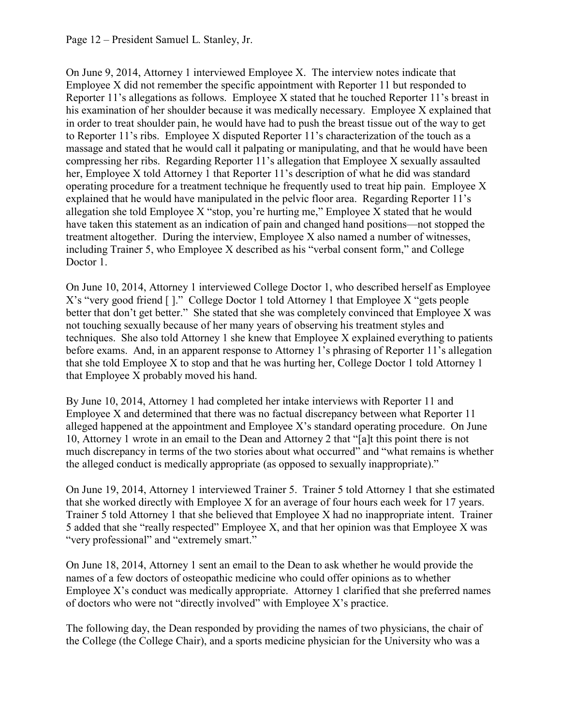On June 9, 2014, Attorney 1 interviewed Employee X. The interview notes indicate that Employee X did not remember the specific appointment with Reporter 11 but responded to Reporter 11's allegations as follows. Employee X stated that he touched Reporter 11's breast in his examination of her shoulder because it was medically necessary. Employee X explained that in order to treat shoulder pain, he would have had to push the breast tissue out of the way to get to Reporter 11's ribs. Employee X disputed Reporter 11's characterization of the touch as a massage and stated that he would call it palpating or manipulating, and that he would have been compressing her ribs. Regarding Reporter 11's allegation that Employee X sexually assaulted her, Employee X told Attorney 1 that Reporter 11's description of what he did was standard operating procedure for a treatment technique he frequently used to treat hip pain. Employee X explained that he would have manipulated in the pelvic floor area. Regarding Reporter 11's allegation she told Employee X "stop, you're hurting me," Employee X stated that he would have taken this statement as an indication of pain and changed hand positions—not stopped the treatment altogether. During the interview, Employee X also named a number of witnesses, including Trainer 5, who Employee X described as his "verbal consent form," and College Doctor 1.

On June 10, 2014, Attorney 1 interviewed College Doctor 1, who described herself as Employee X's "very good friend [ ]." College Doctor 1 told Attorney 1 that Employee X "gets people better that don't get better." She stated that she was completely convinced that Employee X was not touching sexually because of her many years of observing his treatment styles and techniques. She also told Attorney 1 she knew that Employee X explained everything to patients before exams. And, in an apparent response to Attorney 1's phrasing of Reporter 11's allegation that she told Employee X to stop and that he was hurting her, College Doctor 1 told Attorney 1 that Employee X probably moved his hand.

By June 10, 2014, Attorney 1 had completed her intake interviews with Reporter 11 and Employee X and determined that there was no factual discrepancy between what Reporter 11 alleged happened at the appointment and Employee X's standard operating procedure. On June 10, Attorney 1 wrote in an email to the Dean and Attorney 2 that "[a]t this point there is not much discrepancy in terms of the two stories about what occurred" and "what remains is whether the alleged conduct is medically appropriate (as opposed to sexually inappropriate)."

On June 19, 2014, Attorney 1 interviewed Trainer 5. Trainer 5 told Attorney 1 that she estimated that she worked directly with Employee X for an average of four hours each week for 17 years. Trainer 5 told Attorney 1 that she believed that Employee X had no inappropriate intent. Trainer 5 added that she "really respected" Employee X, and that her opinion was that Employee X was "very professional" and "extremely smart."

On June 18, 2014, Attorney 1 sent an email to the Dean to ask whether he would provide the names of a few doctors of osteopathic medicine who could offer opinions as to whether Employee X's conduct was medically appropriate. Attorney 1 clarified that she preferred names of doctors who were not "directly involved" with Employee X's practice.

The following day, the Dean responded by providing the names of two physicians, the chair of the College (the College Chair), and a sports medicine physician for the University who was a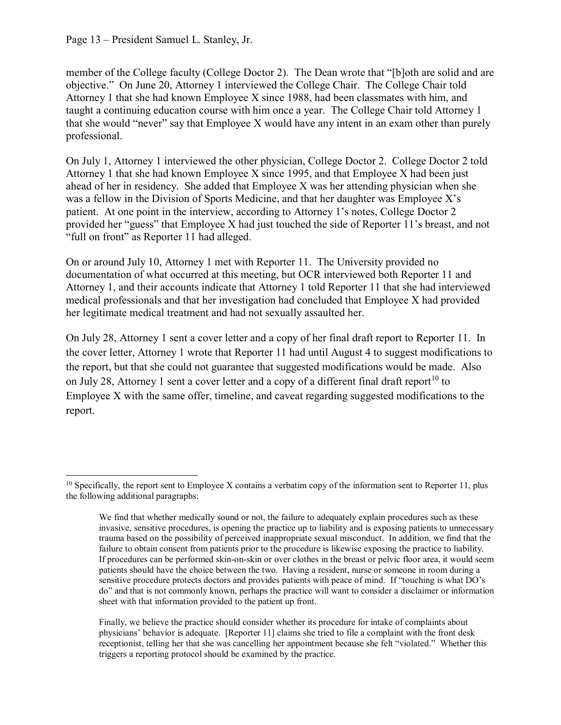member of the College faculty (College Doctor 2). The Dean wrote that "[b]oth are solid and are objective." On June 20, Attorney 1 interviewed the College Chair. The College Chair told Attorney 1 that she had known Employee X since 1988, had been classmates with him, and taught a continuing education course with him once a year. The College Chair told Attorney 1 that she would "never" say that Employee X would have any intent in an exam other than purely professional.

On July 1, Attorney 1 interviewed the other physician, College Doctor 2. College Doctor 2 told Attorney 1 that she had known Employee X since 1995, and that Employee X had been just ahead of her in residency. She added that Employee X was her attending physician when she was a fellow in the Division of Sports Medicine, and that her daughter was Employee X's patient. At one point in the interview, according to Attorney 1's notes, College Doctor 2 provided her "guess" that Employee X had just touched the side of Reporter 11's breast, and not "full on front" as Reporter 11 had alleged.

On or around July 10, Attorney 1 met with Reporter 11. The University provided no documentation of what occurred at this meeting, but OCR interviewed both Reporter 11 and Attorney 1, and their accounts indicate that Attorney 1 told Reporter 11 that she had interviewed medical professionals and that her investigation had concluded that Employee X had provided her legitimate medical treatment and had not sexually assaulted her.

On July 28, Attorney 1 sent a cover letter and a copy of her final draft report to Reporter 11. In the cover letter, Attorney 1 wrote that Reporter 11 had until August 4 to suggest modifications to the report, but that she could not guarantee that suggested modifications would be made. Also on July 28, Attorney 1 sent a cover letter and a copy of a different final draft report<sup>[10](#page-12-0)</sup> to Employee X with the same offer, timeline, and caveat regarding suggested modifications to the report.

<span id="page-12-0"></span> $10$  Specifically, the report sent to Employee X contains a verbatim copy of the information sent to Reporter 11, plus the following additional paragraphs:

We find that whether medically sound or not, the failure to adequately explain procedures such as these invasive, sensitive procedures, is opening the practice up to liability and is exposing patients to unnecessary trauma based on the possibility of perceived inappropriate sexual misconduct. In addition, we find that the failure to obtain consent from patients prior to the procedure is likewise exposing the practice to liability. If procedures can be performed skin-on-skin or over clothes in the breast or pelvic floor area, it would seem patients should have the choice between the two. Having a resident, nurse or someone in room during a sensitive procedure protects doctors and provides patients with peace of mind. If "touching is what DO's do" and that is not commonly known, perhaps the practice will want to consider a disclaimer or information sheet with that information provided to the patient up front.

Finally, we believe the practice should consider whether its procedure for intake of complaints about physicians' behavior is adequate. [Reporter 11] claims she tried to file a complaint with the front desk receptionist, telling her that she was cancelling her appointment because she felt "violated." Whether this triggers a reporting protocol should be examined by the practice.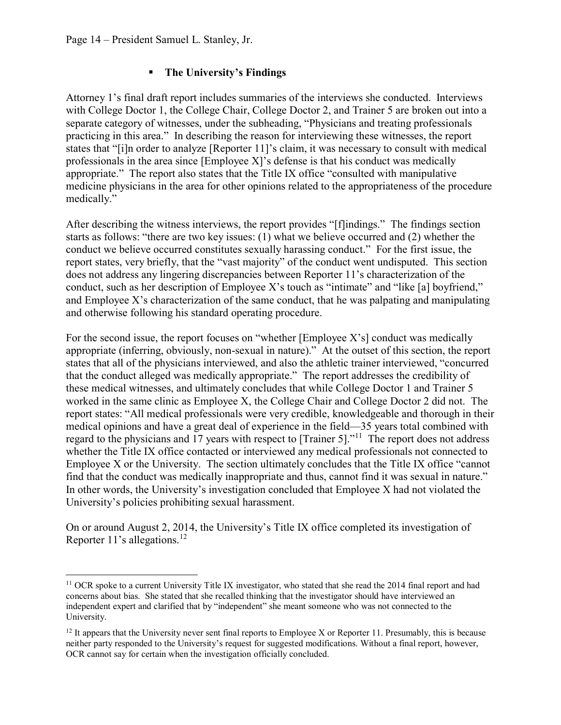## **The University's Findings**

Attorney 1's final draft report includes summaries of the interviews she conducted. Interviews with College Doctor 1, the College Chair, College Doctor 2, and Trainer 5 are broken out into a separate category of witnesses, under the subheading, "Physicians and treating professionals practicing in this area." In describing the reason for interviewing these witnesses, the report states that "[i]n order to analyze [Reporter 11]'s claim, it was necessary to consult with medical professionals in the area since [Employee X]'s defense is that his conduct was medically appropriate." The report also states that the Title IX office "consulted with manipulative medicine physicians in the area for other opinions related to the appropriateness of the procedure medically."

After describing the witness interviews, the report provides "[f]indings." The findings section starts as follows: "there are two key issues: (1) what we believe occurred and (2) whether the conduct we believe occurred constitutes sexually harassing conduct." For the first issue, the report states, very briefly, that the "vast majority" of the conduct went undisputed. This section does not address any lingering discrepancies between Reporter 11's characterization of the conduct, such as her description of Employee X's touch as "intimate" and "like [a] boyfriend," and Employee X's characterization of the same conduct, that he was palpating and manipulating and otherwise following his standard operating procedure.

For the second issue, the report focuses on "whether [Employee X's] conduct was medically appropriate (inferring, obviously, non-sexual in nature)." At the outset of this section, the report states that all of the physicians interviewed, and also the athletic trainer interviewed, "concurred that the conduct alleged was medically appropriate." The report addresses the credibility of these medical witnesses, and ultimately concludes that while College Doctor 1 and Trainer 5 worked in the same clinic as Employee X, the College Chair and College Doctor 2 did not. The report states: "All medical professionals were very credible, knowledgeable and thorough in their medical opinions and have a great deal of experience in the field—35 years total combined with regard to the physicians and 17 years with respect to [Trainer 5]."<sup>11</sup> The report does not address whether the Title IX office contacted or interviewed any medical professionals not connected to Employee X or the University. The section ultimately concludes that the Title IX office "cannot find that the conduct was medically inappropriate and thus, cannot find it was sexual in nature." In other words, the University's investigation concluded that Employee X had not violated the University's policies prohibiting sexual harassment.

On or around August 2, 2014, the University's Title IX office completed its investigation of Reporter 11's allegations. [12](#page-13-1)

<span id="page-13-0"></span><sup>&</sup>lt;sup>11</sup> OCR spoke to a current University Title IX investigator, who stated that she read the 2014 final report and had concerns about bias. She stated that she recalled thinking that the investigator should have interviewed an independent expert and clarified that by "independent" she meant someone who was not connected to the University.

<span id="page-13-1"></span><sup>&</sup>lt;sup>12</sup> It appears that the University never sent final reports to Employee X or Reporter 11. Presumably, this is because neither party responded to the University's request for suggested modifications. Without a final report, however, OCR cannot say for certain when the investigation officially concluded.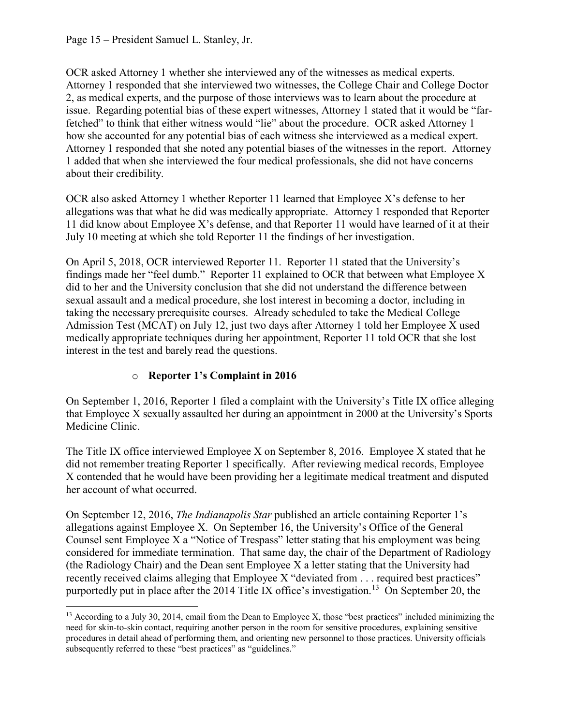OCR asked Attorney 1 whether she interviewed any of the witnesses as medical experts. Attorney 1 responded that she interviewed two witnesses, the College Chair and College Doctor 2, as medical experts, and the purpose of those interviews was to learn about the procedure at issue. Regarding potential bias of these expert witnesses, Attorney 1 stated that it would be "farfetched" to think that either witness would "lie" about the procedure. OCR asked Attorney 1 how she accounted for any potential bias of each witness she interviewed as a medical expert. Attorney 1 responded that she noted any potential biases of the witnesses in the report. Attorney 1 added that when she interviewed the four medical professionals, she did not have concerns about their credibility.

OCR also asked Attorney 1 whether Reporter 11 learned that Employee X's defense to her allegations was that what he did was medically appropriate. Attorney 1 responded that Reporter 11 did know about Employee X's defense, and that Reporter 11 would have learned of it at their July 10 meeting at which she told Reporter 11 the findings of her investigation.

On April 5, 2018, OCR interviewed Reporter 11. Reporter 11 stated that the University's findings made her "feel dumb." Reporter 11 explained to OCR that between what Employee X did to her and the University conclusion that she did not understand the difference between sexual assault and a medical procedure, she lost interest in becoming a doctor, including in taking the necessary prerequisite courses. Already scheduled to take the Medical College Admission Test (MCAT) on July 12, just two days after Attorney 1 told her Employee X used medically appropriate techniques during her appointment, Reporter 11 told OCR that she lost interest in the test and barely read the questions.

## o **Reporter 1's Complaint in 2016**

On September 1, 2016, Reporter 1 filed a complaint with the University's Title IX office alleging that Employee X sexually assaulted her during an appointment in 2000 at the University's Sports Medicine Clinic.

The Title IX office interviewed Employee X on September 8, 2016. Employee X stated that he did not remember treating Reporter 1 specifically. After reviewing medical records, Employee X contended that he would have been providing her a legitimate medical treatment and disputed her account of what occurred.

On September 12, 2016, *The Indianapolis Star* published an article containing Reporter 1's allegations against Employee X. On September 16, the University's Office of the General Counsel sent Employee X a "Notice of Trespass" letter stating that his employment was being considered for immediate termination. That same day, the chair of the Department of Radiology (the Radiology Chair) and the Dean sent Employee X a letter stating that the University had recently received claims alleging that Employee X "deviated from . . . required best practices" purportedly put in place after the 2014 Title IX office's investigation.<sup>[13](#page-14-0)</sup> On September 20, the

<span id="page-14-0"></span><sup>&</sup>lt;sup>13</sup> According to a July 30, 2014, email from the Dean to Employee X, those "best practices" included minimizing the need for skin-to-skin contact, requiring another person in the room for sensitive procedures, explaining sensitive procedures in detail ahead of performing them, and orienting new personnel to those practices. University officials subsequently referred to these "best practices" as "guidelines."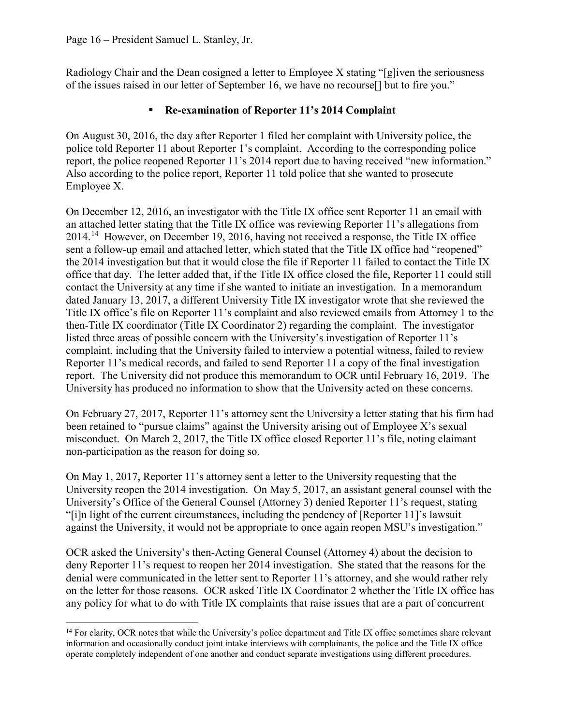Radiology Chair and the Dean cosigned a letter to Employee X stating "[g]iven the seriousness of the issues raised in our letter of September 16, we have no recourse[] but to fire you."

### **Re-examination of Reporter 11's 2014 Complaint**

On August 30, 2016, the day after Reporter 1 filed her complaint with University police, the police told Reporter 11 about Reporter 1's complaint. According to the corresponding police report, the police reopened Reporter 11's 2014 report due to having received "new information." Also according to the police report, Reporter 11 told police that she wanted to prosecute Employee X.

On December 12, 2016, an investigator with the Title IX office sent Reporter 11 an email with an attached letter stating that the Title IX office was reviewing Reporter 11's allegations from 2014.[14](#page-15-0) However, on December 19, 2016, having not received a response, the Title IX office sent a follow-up email and attached letter, which stated that the Title IX office had "reopened" the 2014 investigation but that it would close the file if Reporter 11 failed to contact the Title IX office that day. The letter added that, if the Title IX office closed the file, Reporter 11 could still contact the University at any time if she wanted to initiate an investigation. In a memorandum dated January 13, 2017, a different University Title IX investigator wrote that she reviewed the Title IX office's file on Reporter 11's complaint and also reviewed emails from Attorney 1 to the then-Title IX coordinator (Title IX Coordinator 2) regarding the complaint. The investigator listed three areas of possible concern with the University's investigation of Reporter 11's complaint, including that the University failed to interview a potential witness, failed to review Reporter 11's medical records, and failed to send Reporter 11 a copy of the final investigation report. The University did not produce this memorandum to OCR until February 16, 2019. The University has produced no information to show that the University acted on these concerns.

On February 27, 2017, Reporter 11's attorney sent the University a letter stating that his firm had been retained to "pursue claims" against the University arising out of Employee X's sexual misconduct. On March 2, 2017, the Title IX office closed Reporter 11's file, noting claimant non-participation as the reason for doing so.

On May 1, 2017, Reporter 11's attorney sent a letter to the University requesting that the University reopen the 2014 investigation. On May 5, 2017, an assistant general counsel with the University's Office of the General Counsel (Attorney 3) denied Reporter 11's request, stating "[i]n light of the current circumstances, including the pendency of [Reporter 11]'s lawsuit against the University, it would not be appropriate to once again reopen MSU's investigation."

OCR asked the University's then-Acting General Counsel (Attorney 4) about the decision to deny Reporter 11's request to reopen her 2014 investigation. She stated that the reasons for the denial were communicated in the letter sent to Reporter 11's attorney, and she would rather rely on the letter for those reasons. OCR asked Title IX Coordinator 2 whether the Title IX office has any policy for what to do with Title IX complaints that raise issues that are a part of concurrent

<span id="page-15-0"></span> $14$  For clarity, OCR notes that while the University's police department and Title IX office sometimes share relevant information and occasionally conduct joint intake interviews with complainants, the police and the Title IX office operate completely independent of one another and conduct separate investigations using different procedures.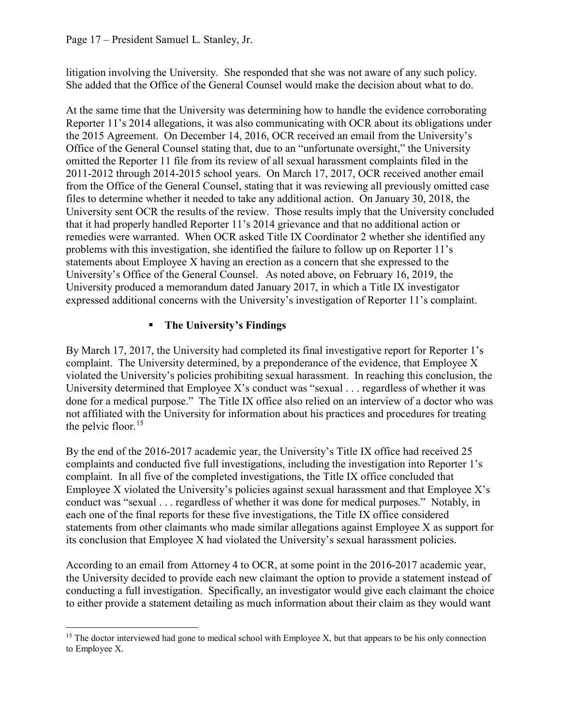litigation involving the University. She responded that she was not aware of any such policy. She added that the Office of the General Counsel would make the decision about what to do.

At the same time that the University was determining how to handle the evidence corroborating Reporter 11's 2014 allegations, it was also communicating with OCR about its obligations under the 2015 Agreement. On December 14, 2016, OCR received an email from the University's Office of the General Counsel stating that, due to an "unfortunate oversight," the University omitted the Reporter 11 file from its review of all sexual harassment complaints filed in the 2011-2012 through 2014-2015 school years. On March 17, 2017, OCR received another email from the Office of the General Counsel, stating that it was reviewing all previously omitted case files to determine whether it needed to take any additional action. On January 30, 2018, the University sent OCR the results of the review. Those results imply that the University concluded that it had properly handled Reporter 11's 2014 grievance and that no additional action or remedies were warranted. When OCR asked Title IX Coordinator 2 whether she identified any problems with this investigation, she identified the failure to follow up on Reporter 11's statements about Employee X having an erection as a concern that she expressed to the University's Office of the General Counsel. As noted above, on February 16, 2019, the University produced a memorandum dated January 2017, in which a Title IX investigator expressed additional concerns with the University's investigation of Reporter 11's complaint.

## **The University's Findings**

By March 17, 2017, the University had completed its final investigative report for Reporter 1's complaint. The University determined, by a preponderance of the evidence, that Employee X violated the University's policies prohibiting sexual harassment. In reaching this conclusion, the University determined that Employee X's conduct was "sexual  $\ldots$  regardless of whether it was done for a medical purpose." The Title IX office also relied on an interview of a doctor who was not affiliated with the University for information about his practices and procedures for treating the pelvic floor.<sup>[15](#page-16-0)</sup>

By the end of the 2016-2017 academic year, the University's Title IX office had received 25 complaints and conducted five full investigations, including the investigation into Reporter 1's complaint. In all five of the completed investigations, the Title IX office concluded that Employee X violated the University's policies against sexual harassment and that Employee  $X$ 's conduct was "sexual . . . regardless of whether it was done for medical purposes." Notably, in each one of the final reports for these five investigations, the Title IX office considered statements from other claimants who made similar allegations against Employee X as support for its conclusion that Employee X had violated the University's sexual harassment policies.

According to an email from Attorney 4 to OCR, at some point in the 2016-2017 academic year, the University decided to provide each new claimant the option to provide a statement instead of conducting a full investigation. Specifically, an investigator would give each claimant the choice to either provide a statement detailing as much information about their claim as they would want

<span id="page-16-0"></span> $15$  The doctor interviewed had gone to medical school with Employee X, but that appears to be his only connection to Employee X.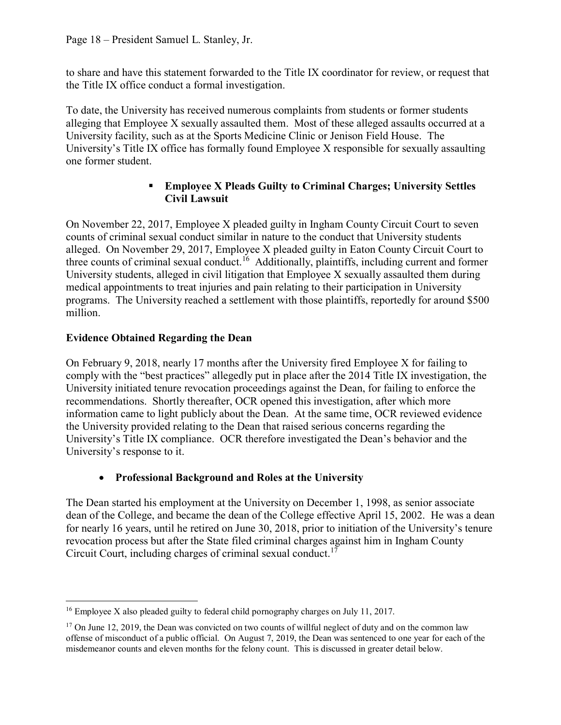to share and have this statement forwarded to the Title IX coordinator for review, or request that the Title IX office conduct a formal investigation.

To date, the University has received numerous complaints from students or former students alleging that Employee X sexually assaulted them. Most of these alleged assaults occurred at a University facility, such as at the Sports Medicine Clinic or Jenison Field House. The University's Title IX office has formally found Employee X responsible for sexually assaulting one former student.

### **Employee X Pleads Guilty to Criminal Charges; University Settles Civil Lawsuit**

On November 22, 2017, Employee X pleaded guilty in Ingham County Circuit Court to seven counts of criminal sexual conduct similar in nature to the conduct that University students alleged. On November 29, 2017, Employee X pleaded guilty in Eaton County Circuit Court to three counts of criminal sexual conduct.<sup>[16](#page-17-0)</sup> Additionally, plaintiffs, including current and former University students, alleged in civil litigation that Employee X sexually assaulted them during medical appointments to treat injuries and pain relating to their participation in University programs. The University reached a settlement with those plaintiffs, reportedly for around \$500 million.

## **Evidence Obtained Regarding the Dean**

On February 9, 2018, nearly 17 months after the University fired Employee X for failing to comply with the "best practices" allegedly put in place after the 2014 Title IX investigation, the University initiated tenure revocation proceedings against the Dean, for failing to enforce the recommendations. Shortly thereafter, OCR opened this investigation, after which more information came to light publicly about the Dean. At the same time, OCR reviewed evidence the University provided relating to the Dean that raised serious concerns regarding the University's Title IX compliance. OCR therefore investigated the Dean's behavior and the University's response to it.

## • **Professional Background and Roles at the University**

The Dean started his employment at the University on December 1, 1998, as senior associate dean of the College, and became the dean of the College effective April 15, 2002. He was a dean for nearly 16 years, until he retired on June 30, 2018, prior to initiation of the University's tenure revocation process but after the State filed criminal charges against him in Ingham County Circuit Court, including charges of criminal sexual conduct.<sup>[17](#page-17-1)</sup>

<span id="page-17-0"></span><sup>&</sup>lt;sup>16</sup> Employee X also pleaded guilty to federal child pornography charges on July 11, 2017.

<span id="page-17-1"></span> $17$  On June 12, 2019, the Dean was convicted on two counts of willful neglect of duty and on the common law offense of misconduct of a public official. On August 7, 2019, the Dean was sentenced to one year for each of the misdemeanor counts and eleven months for the felony count. This is discussed in greater detail below.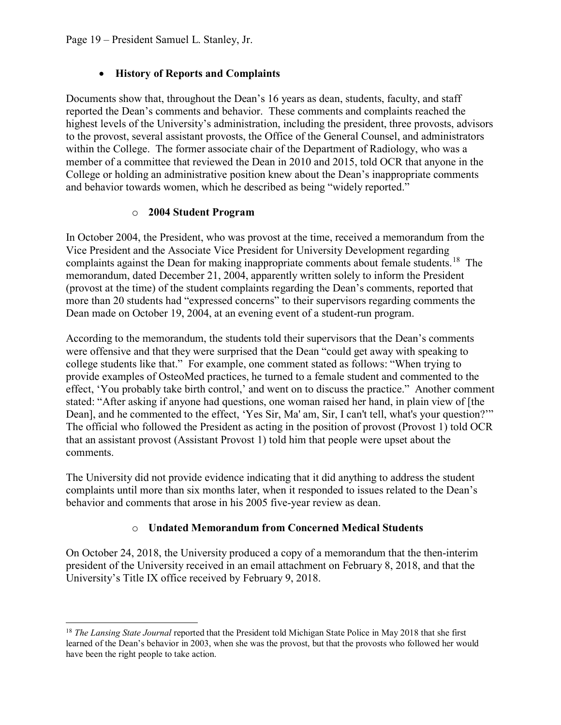### • **History of Reports and Complaints**

Documents show that, throughout the Dean's 16 years as dean, students, faculty, and staff reported the Dean's comments and behavior. These comments and complaints reached the highest levels of the University's administration, including the president, three provosts, advisors to the provost, several assistant provosts, the Office of the General Counsel, and administrators within the College. The former associate chair of the Department of Radiology, who was a member of a committee that reviewed the Dean in 2010 and 2015, told OCR that anyone in the College or holding an administrative position knew about the Dean's inappropriate comments and behavior towards women, which he described as being "widely reported."

### o **2004 Student Program**

In October 2004, the President, who was provost at the time, received a memorandum from the Vice President and the Associate Vice President for University Development regarding complaints against the Dean for making inappropriate comments about female students.<sup>[18](#page-18-0)</sup> The memorandum, dated December 21, 2004, apparently written solely to inform the President (provost at the time) of the student complaints regarding the Dean's comments, reported that more than 20 students had "expressed concerns" to their supervisors regarding comments the Dean made on October 19, 2004, at an evening event of a student-run program.

According to the memorandum, the students told their supervisors that the Dean's comments were offensive and that they were surprised that the Dean "could get away with speaking to college students like that." For example, one comment stated as follows: "When trying to provide examples of OsteoMed practices, he turned to a female student and commented to the effect, 'You probably take birth control,' and went on to discuss the practice." Another comment stated: "After asking if anyone had questions, one woman raised her hand, in plain view of [the Dean], and he commented to the effect, 'Yes Sir, Ma' am, Sir, I can't tell, what's your question?'" The official who followed the President as acting in the position of provost (Provost 1) told OCR that an assistant provost (Assistant Provost 1) told him that people were upset about the comments.

The University did not provide evidence indicating that it did anything to address the student complaints until more than six months later, when it responded to issues related to the Dean's behavior and comments that arose in his 2005 five-year review as dean.

## o **Undated Memorandum from Concerned Medical Students**

On October 24, 2018, the University produced a copy of a memorandum that the then-interim president of the University received in an email attachment on February 8, 2018, and that the University's Title IX office received by February 9, 2018.

<span id="page-18-0"></span><sup>18</sup> *The Lansing State Journal* reported that the President told Michigan State Police in May 2018 that she first learned of the Dean's behavior in 2003, when she was the provost, but that the provosts who followed her would have been the right people to take action.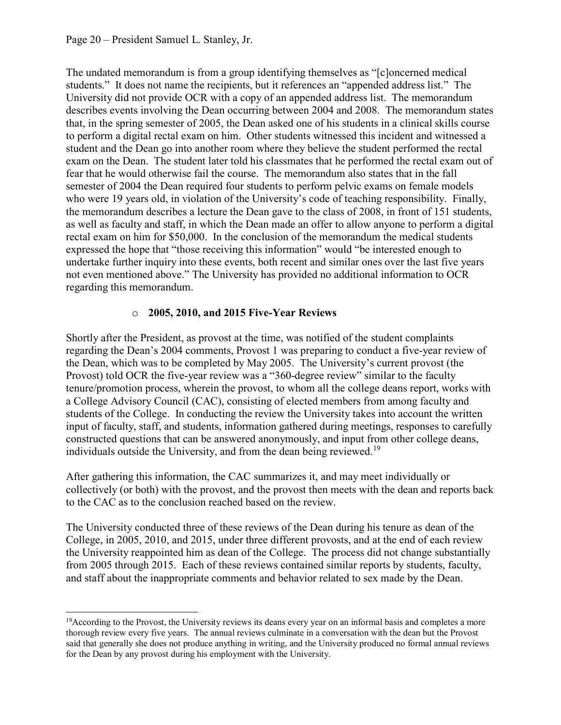The undated memorandum is from a group identifying themselves as "[c]oncerned medical students." It does not name the recipients, but it references an "appended address list." The University did not provide OCR with a copy of an appended address list. The memorandum describes events involving the Dean occurring between 2004 and 2008. The memorandum states that, in the spring semester of 2005, the Dean asked one of his students in a clinical skills course to perform a digital rectal exam on him. Other students witnessed this incident and witnessed a student and the Dean go into another room where they believe the student performed the rectal exam on the Dean. The student later told his classmates that he performed the rectal exam out of fear that he would otherwise fail the course. The memorandum also states that in the fall semester of 2004 the Dean required four students to perform pelvic exams on female models who were 19 years old, in violation of the University's code of teaching responsibility. Finally, the memorandum describes a lecture the Dean gave to the class of 2008, in front of 151 students, as well as faculty and staff, in which the Dean made an offer to allow anyone to perform a digital rectal exam on him for \$50,000. In the conclusion of the memorandum the medical students expressed the hope that "those receiving this information" would "be interested enough to undertake further inquiry into these events, both recent and similar ones over the last five years not even mentioned above." The University has provided no additional information to OCR regarding this memorandum.

## o **2005, 2010, and 2015 Five-Year Reviews**

Shortly after the President, as provost at the time, was notified of the student complaints regarding the Dean's 2004 comments, Provost 1 was preparing to conduct a five-year review of the Dean, which was to be completed by May 2005. The University's current provost (the Provost) told OCR the five-year review was a "360-degree review" similar to the faculty tenure/promotion process, wherein the provost, to whom all the college deans report, works with a College Advisory Council (CAC), consisting of elected members from among faculty and students of the College. In conducting the review the University takes into account the written input of faculty, staff, and students, information gathered during meetings, responses to carefully constructed questions that can be answered anonymously, and input from other college deans, individuals outside the University, and from the dean being reviewed.<sup>[19](#page-19-0)</sup>

After gathering this information, the CAC summarizes it, and may meet individually or collectively (or both) with the provost, and the provost then meets with the dean and reports back to the CAC as to the conclusion reached based on the review.

The University conducted three of these reviews of the Dean during his tenure as dean of the College, in 2005, 2010, and 2015, under three different provosts, and at the end of each review the University reappointed him as dean of the College. The process did not change substantially from 2005 through 2015. Each of these reviews contained similar reports by students, faculty, and staff about the inappropriate comments and behavior related to sex made by the Dean.

<span id="page-19-0"></span><sup>&</sup>lt;sup>19</sup> According to the Provost, the University reviews its deans every year on an informal basis and completes a more thorough review every five years. The annual reviews culminate in a conversation with the dean but the Provost said that generally she does not produce anything in writing, and the University produced no formal annual reviews for the Dean by any provost during his employment with the University.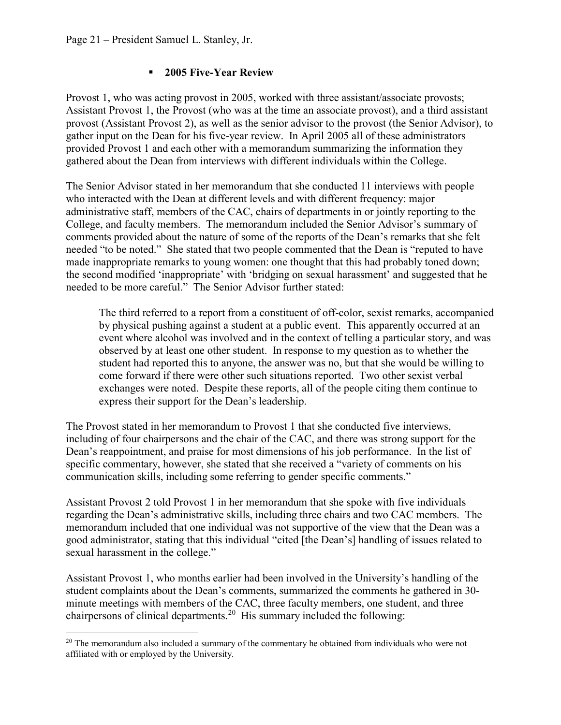### **2005 Five-Year Review**

Provost 1, who was acting provost in 2005, worked with three assistant/associate provosts; Assistant Provost 1, the Provost (who was at the time an associate provost), and a third assistant provost (Assistant Provost 2), as well as the senior advisor to the provost (the Senior Advisor), to gather input on the Dean for his five-year review. In April 2005 all of these administrators provided Provost 1 and each other with a memorandum summarizing the information they gathered about the Dean from interviews with different individuals within the College.

The Senior Advisor stated in her memorandum that she conducted 11 interviews with people who interacted with the Dean at different levels and with different frequency: major administrative staff, members of the CAC, chairs of departments in or jointly reporting to the College, and faculty members. The memorandum included the Senior Advisor's summary of comments provided about the nature of some of the reports of the Dean's remarks that she felt needed "to be noted." She stated that two people commented that the Dean is "reputed to have made inappropriate remarks to young women: one thought that this had probably toned down; the second modified 'inappropriate' with 'bridging on sexual harassment' and suggested that he needed to be more careful." The Senior Advisor further stated:

The third referred to a report from a constituent of off-color, sexist remarks, accompanied by physical pushing against a student at a public event. This apparently occurred at an event where alcohol was involved and in the context of telling a particular story, and was observed by at least one other student. In response to my question as to whether the student had reported this to anyone, the answer was no, but that she would be willing to come forward if there were other such situations reported. Two other sexist verbal exchanges were noted. Despite these reports, all of the people citing them continue to express their support for the Dean's leadership.

The Provost stated in her memorandum to Provost 1 that she conducted five interviews, including of four chairpersons and the chair of the CAC, and there was strong support for the Dean's reappointment, and praise for most dimensions of his job performance. In the list of specific commentary, however, she stated that she received a "variety of comments on his communication skills, including some referring to gender specific comments."

Assistant Provost 2 told Provost 1 in her memorandum that she spoke with five individuals regarding the Dean's administrative skills, including three chairs and two CAC members. The memorandum included that one individual was not supportive of the view that the Dean was a good administrator, stating that this individual "cited [the Dean's] handling of issues related to sexual harassment in the college."

Assistant Provost 1, who months earlier had been involved in the University's handling of the student complaints about the Dean's comments, summarized the comments he gathered in 30 minute meetings with members of the CAC, three faculty members, one student, and three chairpersons of clinical departments.<sup>[20](#page-20-0)</sup> His summary included the following:

<span id="page-20-0"></span><sup>&</sup>lt;sup>20</sup> The memorandum also included a summary of the commentary he obtained from individuals who were not affiliated with or employed by the University.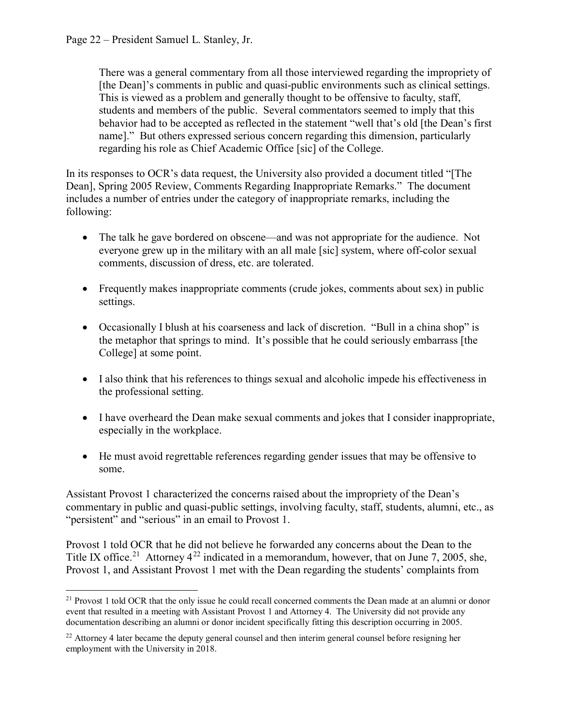There was a general commentary from all those interviewed regarding the impropriety of [the Dean]'s comments in public and quasi-public environments such as clinical settings. This is viewed as a problem and generally thought to be offensive to faculty, staff, students and members of the public. Several commentators seemed to imply that this behavior had to be accepted as reflected in the statement "well that's old [the Dean's first name]." But others expressed serious concern regarding this dimension, particularly regarding his role as Chief Academic Office [sic] of the College.

In its responses to OCR's data request, the University also provided a document titled "[The Dean], Spring 2005 Review, Comments Regarding Inappropriate Remarks." The document includes a number of entries under the category of inappropriate remarks, including the following:

- The talk he gave bordered on obscene—and was not appropriate for the audience. Not everyone grew up in the military with an all male [sic] system, where off-color sexual comments, discussion of dress, etc. are tolerated.
- Frequently makes inappropriate comments (crude jokes, comments about sex) in public settings.
- Occasionally I blush at his coarseness and lack of discretion. "Bull in a china shop" is the metaphor that springs to mind. It's possible that he could seriously embarrass [the College] at some point.
- I also think that his references to things sexual and alcoholic impede his effectiveness in the professional setting.
- I have overheard the Dean make sexual comments and jokes that I consider inappropriate, especially in the workplace.
- He must avoid regrettable references regarding gender issues that may be offensive to some.

Assistant Provost 1 characterized the concerns raised about the impropriety of the Dean's commentary in public and quasi-public settings, involving faculty, staff, students, alumni, etc., as "persistent" and "serious" in an email to Provost 1.

Provost 1 told OCR that he did not believe he forwarded any concerns about the Dean to the Title IX office.<sup>21</sup> Attorney  $4^{22}$  $4^{22}$  $4^{22}$  indicated in a memorandum, however, that on June 7, 2005, she, Provost 1, and Assistant Provost 1 met with the Dean regarding the students' complaints from

<span id="page-21-0"></span><sup>&</sup>lt;sup>21</sup> Provost 1 told OCR that the only issue he could recall concerned comments the Dean made at an alumni or donor event that resulted in a meeting with Assistant Provost 1 and Attorney 4. The University did not provide any documentation describing an alumni or donor incident specifically fitting this description occurring in 2005.

<span id="page-21-1"></span><sup>&</sup>lt;sup>22</sup> Attorney 4 later became the deputy general counsel and then interim general counsel before resigning her employment with the University in 2018.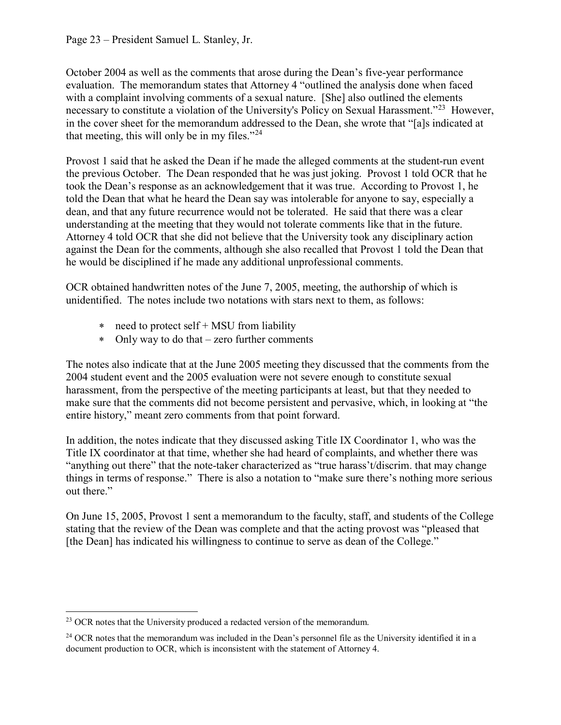#### Page 23 – President Samuel L. Stanley, Jr.

October 2004 as well as the comments that arose during the Dean's five-year performance evaluation. The memorandum states that Attorney 4 "outlined the analysis done when faced with a complaint involving comments of a sexual nature. [She] also outlined the elements necessary to constitute a violation of the University's Policy on Sexual Harassment."<sup>[23](#page-22-0)</sup> However, in the cover sheet for the memorandum addressed to the Dean, she wrote that "[a]s indicated at that meeting, this will only be in my files." $^{24}$  $^{24}$  $^{24}$ 

Provost 1 said that he asked the Dean if he made the alleged comments at the student-run event the previous October. The Dean responded that he was just joking. Provost 1 told OCR that he took the Dean's response as an acknowledgement that it was true. According to Provost 1, he told the Dean that what he heard the Dean say was intolerable for anyone to say, especially a dean, and that any future recurrence would not be tolerated. He said that there was a clear understanding at the meeting that they would not tolerate comments like that in the future. Attorney 4 told OCR that she did not believe that the University took any disciplinary action against the Dean for the comments, although she also recalled that Provost 1 told the Dean that he would be disciplined if he made any additional unprofessional comments.

OCR obtained handwritten notes of the June 7, 2005, meeting, the authorship of which is unidentified. The notes include two notations with stars next to them, as follows:

- ∗ need to protect self + MSU from liability
- ∗ Only way to do that zero further comments

The notes also indicate that at the June 2005 meeting they discussed that the comments from the 2004 student event and the 2005 evaluation were not severe enough to constitute sexual harassment, from the perspective of the meeting participants at least, but that they needed to make sure that the comments did not become persistent and pervasive, which, in looking at "the entire history," meant zero comments from that point forward.

In addition, the notes indicate that they discussed asking Title IX Coordinator 1, who was the Title IX coordinator at that time, whether she had heard of complaints, and whether there was "anything out there" that the note-taker characterized as "true harass't/discrim. that may change things in terms of response." There is also a notation to "make sure there's nothing more serious out there."

On June 15, 2005, Provost 1 sent a memorandum to the faculty, staff, and students of the College stating that the review of the Dean was complete and that the acting provost was "pleased that [the Dean] has indicated his willingness to continue to serve as dean of the College."

<span id="page-22-0"></span><sup>&</sup>lt;sup>23</sup> OCR notes that the University produced a redacted version of the memorandum.

<span id="page-22-1"></span><sup>&</sup>lt;sup>24</sup> OCR notes that the memorandum was included in the Dean's personnel file as the University identified it in a document production to OCR, which is inconsistent with the statement of Attorney 4.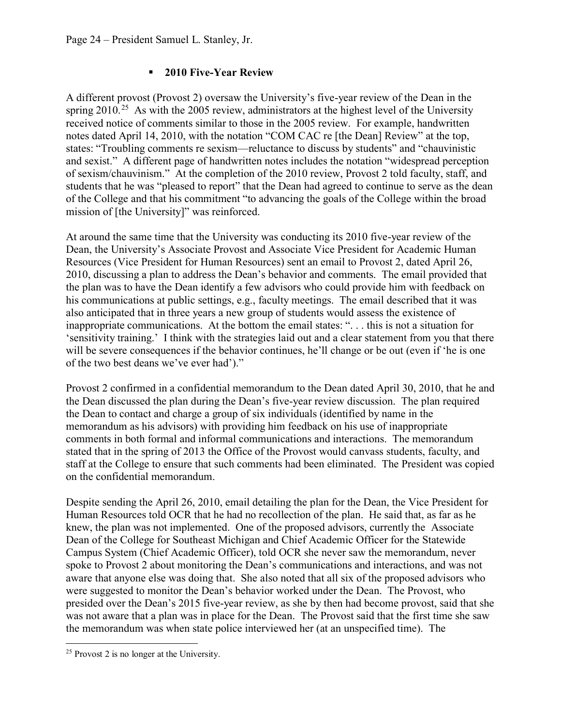### **2010 Five-Year Review**

A different provost (Provost 2) oversaw the University's five-year review of the Dean in the spring  $2010^{25}$  As with the 2005 review, administrators at the highest level of the University received notice of comments similar to those in the 2005 review. For example, handwritten notes dated April 14, 2010, with the notation "COM CAC re [the Dean] Review" at the top, states: "Troubling comments re sexism—reluctance to discuss by students" and "chauvinistic and sexist." A different page of handwritten notes includes the notation "widespread perception of sexism/chauvinism." At the completion of the 2010 review, Provost 2 told faculty, staff, and students that he was "pleased to report" that the Dean had agreed to continue to serve as the dean of the College and that his commitment "to advancing the goals of the College within the broad mission of [the University]" was reinforced.

At around the same time that the University was conducting its 2010 five-year review of the Dean, the University's Associate Provost and Associate Vice President for Academic Human Resources (Vice President for Human Resources) sent an email to Provost 2, dated April 26, 2010, discussing a plan to address the Dean's behavior and comments. The email provided that the plan was to have the Dean identify a few advisors who could provide him with feedback on his communications at public settings, e.g., faculty meetings. The email described that it was also anticipated that in three years a new group of students would assess the existence of inappropriate communications. At the bottom the email states: ". . . this is not a situation for 'sensitivity training.' I think with the strategies laid out and a clear statement from you that there will be severe consequences if the behavior continues, he'll change or be out (even if 'he is one of the two best deans we've ever had')."

Provost 2 confirmed in a confidential memorandum to the Dean dated April 30, 2010, that he and the Dean discussed the plan during the Dean's five-year review discussion. The plan required the Dean to contact and charge a group of six individuals (identified by name in the memorandum as his advisors) with providing him feedback on his use of inappropriate comments in both formal and informal communications and interactions. The memorandum stated that in the spring of 2013 the Office of the Provost would canvass students, faculty, and staff at the College to ensure that such comments had been eliminated. The President was copied on the confidential memorandum.

Despite sending the April 26, 2010, email detailing the plan for the Dean, the Vice President for Human Resources told OCR that he had no recollection of the plan. He said that, as far as he knew, the plan was not implemented. One of the proposed advisors, currently the Associate Dean of the College for Southeast Michigan and Chief Academic Officer for the Statewide Campus System (Chief Academic Officer), told OCR she never saw the memorandum, never spoke to Provost 2 about monitoring the Dean's communications and interactions, and was not aware that anyone else was doing that. She also noted that all six of the proposed advisors who were suggested to monitor the Dean's behavior worked under the Dean. The Provost, who presided over the Dean's 2015 five-year review, as she by then had become provost, said that she was not aware that a plan was in place for the Dean. The Provost said that the first time she saw the memorandum was when state police interviewed her (at an unspecified time). The

<span id="page-23-0"></span><sup>25</sup> Provost 2 is no longer at the University.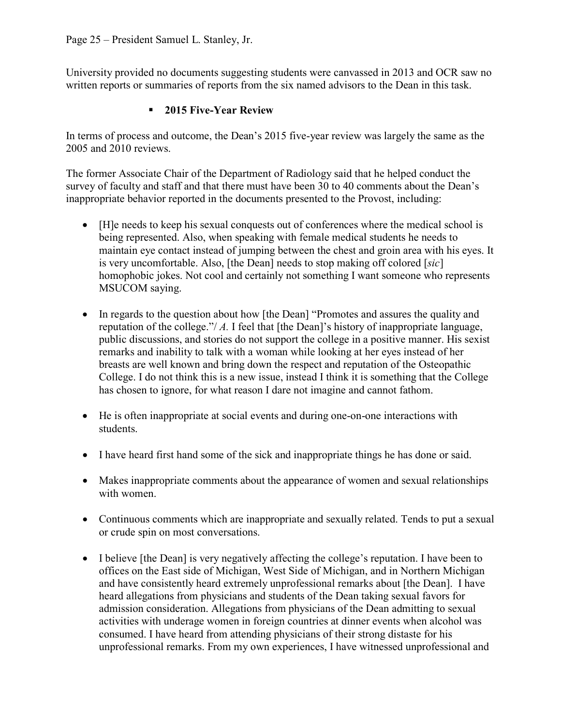University provided no documents suggesting students were canvassed in 2013 and OCR saw no written reports or summaries of reports from the six named advisors to the Dean in this task.

### **2015 Five-Year Review**

In terms of process and outcome, the Dean's 2015 five-year review was largely the same as the 2005 and 2010 reviews.

The former Associate Chair of the Department of Radiology said that he helped conduct the survey of faculty and staff and that there must have been 30 to 40 comments about the Dean's inappropriate behavior reported in the documents presented to the Provost, including:

- [H]e needs to keep his sexual conquests out of conferences where the medical school is being represented. Also, when speaking with female medical students he needs to maintain eye contact instead of jumping between the chest and groin area with his eyes. It is very uncomfortable. Also, [the Dean] needs to stop making off colored [*sic*] homophobic jokes. Not cool and certainly not something I want someone who represents MSUCOM saying.
- In regards to the question about how [the Dean] "Promotes and assures the quality and reputation of the college."/ *A.* I feel that [the Dean]'s history of inappropriate language, public discussions, and stories do not support the college in a positive manner. His sexist remarks and inability to talk with a woman while looking at her eyes instead of her breasts are well known and bring down the respect and reputation of the Osteopathic College. I do not think this is a new issue, instead I think it is something that the College has chosen to ignore, for what reason I dare not imagine and cannot fathom.
- He is often inappropriate at social events and during one-on-one interactions with students.
- I have heard first hand some of the sick and inappropriate things he has done or said.
- Makes inappropriate comments about the appearance of women and sexual relationships with women.
- Continuous comments which are inappropriate and sexually related. Tends to put a sexual or crude spin on most conversations.
- I believe [the Dean] is very negatively affecting the college's reputation. I have been to offices on the East side of Michigan, West Side of Michigan, and in Northern Michigan and have consistently heard extremely unprofessional remarks about [the Dean]. I have heard allegations from physicians and students of the Dean taking sexual favors for admission consideration. Allegations from physicians of the Dean admitting to sexual activities with underage women in foreign countries at dinner events when alcohol was consumed. I have heard from attending physicians of their strong distaste for his unprofessional remarks. From my own experiences, I have witnessed unprofessional and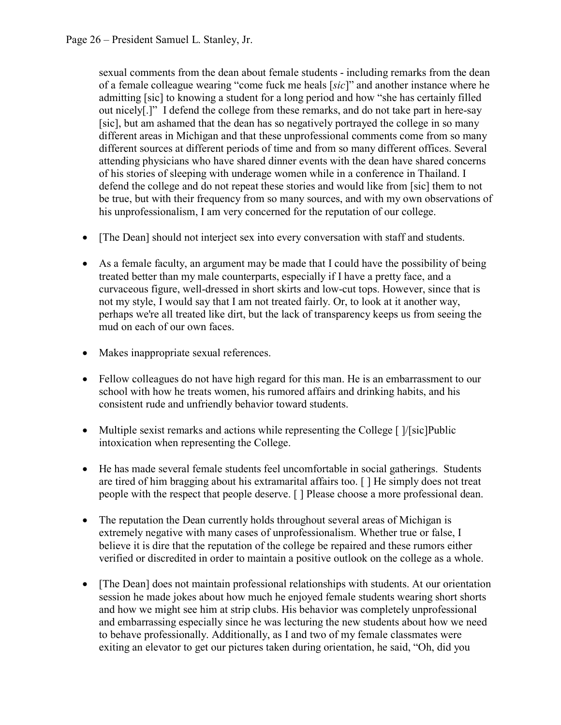sexual comments from the dean about female students - including remarks from the dean of a female colleague wearing "come fuck me heals [*sic*]" and another instance where he admitting [sic] to knowing a student for a long period and how "she has certainly filled out nicely[.]" I defend the college from these remarks, and do not take part in here-say [sic], but am ashamed that the dean has so negatively portrayed the college in so many different areas in Michigan and that these unprofessional comments come from so many different sources at different periods of time and from so many different offices. Several attending physicians who have shared dinner events with the dean have shared concerns of his stories of sleeping with underage women while in a conference in Thailand. I defend the college and do not repeat these stories and would like from [sic] them to not be true, but with their frequency from so many sources, and with my own observations of his unprofessionalism, I am very concerned for the reputation of our college.

- [The Dean] should not interject sex into every conversation with staff and students.
- As a female faculty, an argument may be made that I could have the possibility of being treated better than my male counterparts, especially if I have a pretty face, and a curvaceous figure, well-dressed in short skirts and low-cut tops. However, since that is not my style, I would say that I am not treated fairly. Or, to look at it another way, perhaps we're all treated like dirt, but the lack of transparency keeps us from seeing the mud on each of our own faces.
- Makes inappropriate sexual references.
- Fellow colleagues do not have high regard for this man. He is an embarrassment to our school with how he treats women, his rumored affairs and drinking habits, and his consistent rude and unfriendly behavior toward students.
- Multiple sexist remarks and actions while representing the College [ ]/[sic]Public intoxication when representing the College.
- He has made several female students feel uncomfortable in social gatherings. Students are tired of him bragging about his extramarital affairs too. [ ] He simply does not treat people with the respect that people deserve. [ ] Please choose a more professional dean.
- The reputation the Dean currently holds throughout several areas of Michigan is extremely negative with many cases of unprofessionalism. Whether true or false, I believe it is dire that the reputation of the college be repaired and these rumors either verified or discredited in order to maintain a positive outlook on the college as a whole.
- [The Dean] does not maintain professional relationships with students. At our orientation session he made jokes about how much he enjoyed female students wearing short shorts and how we might see him at strip clubs. His behavior was completely unprofessional and embarrassing especially since he was lecturing the new students about how we need to behave professionally. Additionally, as I and two of my female classmates were exiting an elevator to get our pictures taken during orientation, he said, "Oh, did you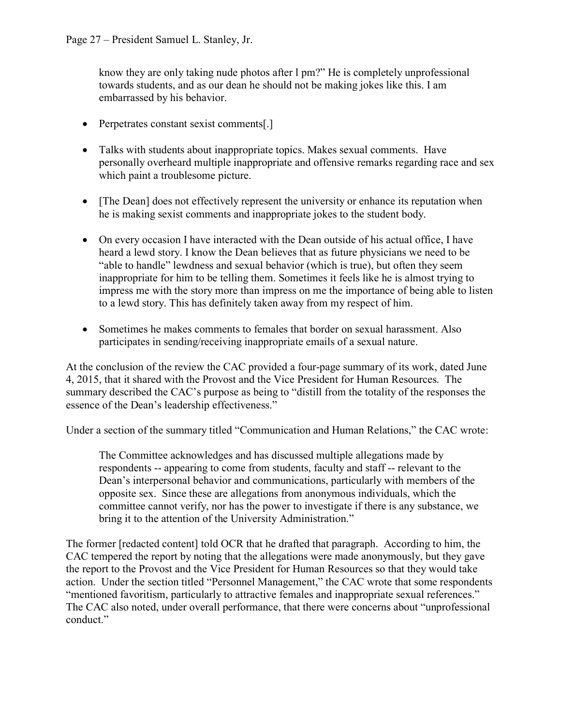know they are only taking nude photos after l pm?" He is completely unprofessional towards students, and as our dean he should not be making jokes like this. I am embarrassed by his behavior.

- Perpetrates constant sexist comments[.]
- Talks with students about inappropriate topics. Makes sexual comments. Have personally overheard multiple inappropriate and offensive remarks regarding race and sex which paint a troublesome picture.
- [The Dean] does not effectively represent the university or enhance its reputation when he is making sexist comments and inappropriate jokes to the student body.
- On every occasion I have interacted with the Dean outside of his actual office, I have heard a lewd story. I know the Dean believes that as future physicians we need to be "able to handle" lewdness and sexual behavior (which is true), but often they seem inappropriate for him to be telling them. Sometimes it feels like he is almost trying to impress me with the story more than impress on me the importance of being able to listen to a lewd story. This has definitely taken away from my respect of him.
- Sometimes he makes comments to females that border on sexual harassment. Also participates in sending/receiving inappropriate emails of a sexual nature.

At the conclusion of the review the CAC provided a four-page summary of its work, dated June 4, 2015, that it shared with the Provost and the Vice President for Human Resources. The summary described the CAC's purpose as being to "distill from the totality of the responses the essence of the Dean's leadership effectiveness."

Under a section of the summary titled "Communication and Human Relations," the CAC wrote:

The Committee acknowledges and has discussed multiple allegations made by respondents -- appearing to come from students, faculty and staff -- relevant to the Dean's interpersonal behavior and communications, particularly with members of the opposite sex. Since these are allegations from anonymous individuals, which the committee cannot verify, nor has the power to investigate if there is any substance, we bring it to the attention of the University Administration."

The former [redacted content] told OCR that he drafted that paragraph. According to him, the CAC tempered the report by noting that the allegations were made anonymously, but they gave the report to the Provost and the Vice President for Human Resources so that they would take action. Under the section titled "Personnel Management," the CAC wrote that some respondents "mentioned favoritism, particularly to attractive females and inappropriate sexual references." The CAC also noted, under overall performance, that there were concerns about "unprofessional conduct."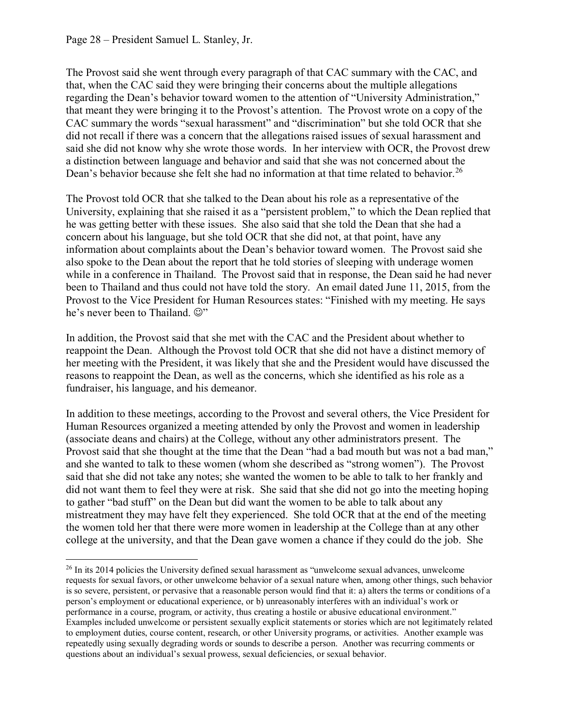The Provost said she went through every paragraph of that CAC summary with the CAC, and that, when the CAC said they were bringing their concerns about the multiple allegations regarding the Dean's behavior toward women to the attention of "University Administration," that meant they were bringing it to the Provost's attention. The Provost wrote on a copy of the CAC summary the words "sexual harassment" and "discrimination" but she told OCR that she did not recall if there was a concern that the allegations raised issues of sexual harassment and said she did not know why she wrote those words. In her interview with OCR, the Provost drew a distinction between language and behavior and said that she was not concerned about the Dean's behavior because she felt she had no information at that time related to behavior.<sup>[26](#page-27-0)</sup>

The Provost told OCR that she talked to the Dean about his role as a representative of the University, explaining that she raised it as a "persistent problem," to which the Dean replied that he was getting better with these issues. She also said that she told the Dean that she had a concern about his language, but she told OCR that she did not, at that point, have any information about complaints about the Dean's behavior toward women. The Provost said she also spoke to the Dean about the report that he told stories of sleeping with underage women while in a conference in Thailand. The Provost said that in response, the Dean said he had never been to Thailand and thus could not have told the story. An email dated June 11, 2015, from the Provost to the Vice President for Human Resources states: "Finished with my meeting. He says he's never been to Thailand.  $\mathbb{Q}$ "

In addition, the Provost said that she met with the CAC and the President about whether to reappoint the Dean. Although the Provost told OCR that she did not have a distinct memory of her meeting with the President, it was likely that she and the President would have discussed the reasons to reappoint the Dean, as well as the concerns, which she identified as his role as a fundraiser, his language, and his demeanor.

In addition to these meetings, according to the Provost and several others, the Vice President for Human Resources organized a meeting attended by only the Provost and women in leadership (associate deans and chairs) at the College, without any other administrators present. The Provost said that she thought at the time that the Dean "had a bad mouth but was not a bad man," and she wanted to talk to these women (whom she described as "strong women"). The Provost said that she did not take any notes; she wanted the women to be able to talk to her frankly and did not want them to feel they were at risk. She said that she did not go into the meeting hoping to gather "bad stuff" on the Dean but did want the women to be able to talk about any mistreatment they may have felt they experienced. She told OCR that at the end of the meeting the women told her that there were more women in leadership at the College than at any other college at the university, and that the Dean gave women a chance if they could do the job. She

<span id="page-27-0"></span><sup>&</sup>lt;sup>26</sup> In its 2014 policies the University defined sexual harassment as "unwelcome sexual advances, unwelcome requests for sexual favors, or other unwelcome behavior of a sexual nature when, among other things, such behavior is so severe, persistent, or pervasive that a reasonable person would find that it: a) alters the terms or conditions of a person's employment or educational experience, or b) unreasonably interferes with an individual's work or performance in a course, program, or activity, thus creating a hostile or abusive educational environment." Examples included unwelcome or persistent sexually explicit statements or stories which are not legitimately related to employment duties, course content, research, or other University programs, or activities. Another example was repeatedly using sexually degrading words or sounds to describe a person. Another was recurring comments or questions about an individual's sexual prowess, sexual deficiencies, or sexual behavior.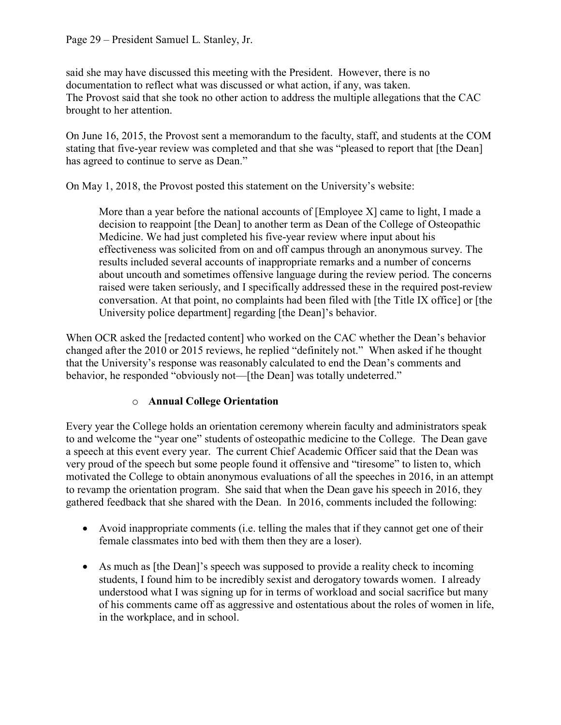said she may have discussed this meeting with the President. However, there is no documentation to reflect what was discussed or what action, if any, was taken. The Provost said that she took no other action to address the multiple allegations that the CAC brought to her attention.

On June 16, 2015, the Provost sent a memorandum to the faculty, staff, and students at the COM stating that five-year review was completed and that she was "pleased to report that [the Dean] has agreed to continue to serve as Dean."

On May 1, 2018, the Provost posted this statement on the University's website:

More than a year before the national accounts of [Employee X] came to light, I made a decision to reappoint [the Dean] to another term as Dean of the College of Osteopathic Medicine. We had just completed his five-year review where input about his effectiveness was solicited from on and off campus through an anonymous survey. The results included several accounts of inappropriate remarks and a number of concerns about uncouth and sometimes offensive language during the review period. The concerns raised were taken seriously, and I specifically addressed these in the required post-review conversation. At that point, no complaints had been filed with [the Title IX office] or [the University police department] regarding [the Dean]'s behavior.

When OCR asked the [redacted content] who worked on the CAC whether the Dean's behavior changed after the 2010 or 2015 reviews, he replied "definitely not." When asked if he thought that the University's response was reasonably calculated to end the Dean's comments and behavior, he responded "obviously not—[the Dean] was totally undeterred."

## o **Annual College Orientation**

Every year the College holds an orientation ceremony wherein faculty and administrators speak to and welcome the "year one" students of osteopathic medicine to the College. The Dean gave a speech at this event every year. The current Chief Academic Officer said that the Dean was very proud of the speech but some people found it offensive and "tiresome" to listen to, which motivated the College to obtain anonymous evaluations of all the speeches in 2016, in an attempt to revamp the orientation program. She said that when the Dean gave his speech in 2016, they gathered feedback that she shared with the Dean. In 2016, comments included the following:

- Avoid inappropriate comments (i.e. telling the males that if they cannot get one of their female classmates into bed with them then they are a loser).
- As much as [the Dean]'s speech was supposed to provide a reality check to incoming students, I found him to be incredibly sexist and derogatory towards women. I already understood what I was signing up for in terms of workload and social sacrifice but many of his comments came off as aggressive and ostentatious about the roles of women in life, in the workplace, and in school.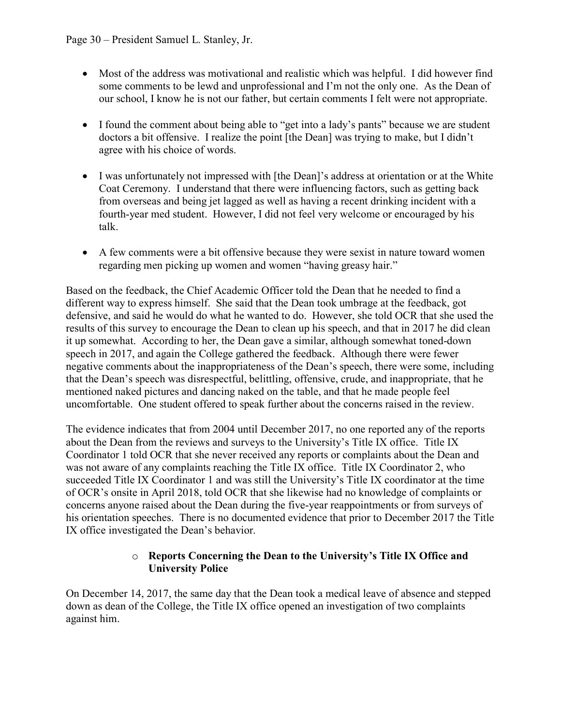- Most of the address was motivational and realistic which was helpful. I did however find some comments to be lewd and unprofessional and I'm not the only one. As the Dean of our school, I know he is not our father, but certain comments I felt were not appropriate.
- I found the comment about being able to "get into a lady's pants" because we are student doctors a bit offensive. I realize the point [the Dean] was trying to make, but I didn't agree with his choice of words.
- I was unfortunately not impressed with [the Dean]'s address at orientation or at the White Coat Ceremony. I understand that there were influencing factors, such as getting back from overseas and being jet lagged as well as having a recent drinking incident with a fourth-year med student. However, I did not feel very welcome or encouraged by his talk.
- A few comments were a bit offensive because they were sexist in nature toward women regarding men picking up women and women "having greasy hair."

Based on the feedback, the Chief Academic Officer told the Dean that he needed to find a different way to express himself. She said that the Dean took umbrage at the feedback, got defensive, and said he would do what he wanted to do. However, she told OCR that she used the results of this survey to encourage the Dean to clean up his speech, and that in 2017 he did clean it up somewhat. According to her, the Dean gave a similar, although somewhat toned-down speech in 2017, and again the College gathered the feedback. Although there were fewer negative comments about the inappropriateness of the Dean's speech, there were some, including that the Dean's speech was disrespectful, belittling, offensive, crude, and inappropriate, that he mentioned naked pictures and dancing naked on the table, and that he made people feel uncomfortable. One student offered to speak further about the concerns raised in the review.

The evidence indicates that from 2004 until December 2017, no one reported any of the reports about the Dean from the reviews and surveys to the University's Title IX office. Title IX Coordinator 1 told OCR that she never received any reports or complaints about the Dean and was not aware of any complaints reaching the Title IX office. Title IX Coordinator 2, who succeeded Title IX Coordinator 1 and was still the University's Title IX coordinator at the time of OCR's onsite in April 2018, told OCR that she likewise had no knowledge of complaints or concerns anyone raised about the Dean during the five-year reappointments or from surveys of his orientation speeches. There is no documented evidence that prior to December 2017 the Title IX office investigated the Dean's behavior.

### o **Reports Concerning the Dean to the University's Title IX Office and University Police**

On December 14, 2017, the same day that the Dean took a medical leave of absence and stepped down as dean of the College, the Title IX office opened an investigation of two complaints against him.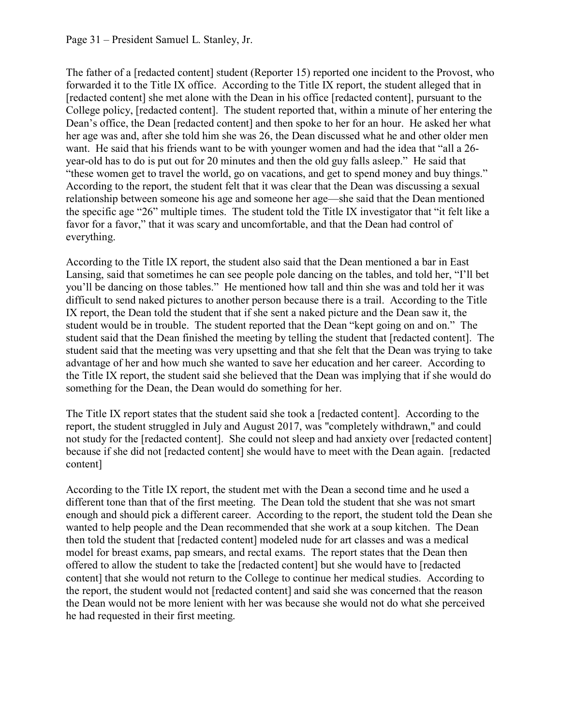The father of a [redacted content] student (Reporter 15) reported one incident to the Provost, who forwarded it to the Title IX office. According to the Title IX report, the student alleged that in [redacted content] she met alone with the Dean in his office [redacted content], pursuant to the College policy, [redacted content]. The student reported that, within a minute of her entering the Dean's office, the Dean [redacted content] and then spoke to her for an hour. He asked her what her age was and, after she told him she was 26, the Dean discussed what he and other older men want. He said that his friends want to be with younger women and had the idea that "all a 26 year-old has to do is put out for 20 minutes and then the old guy falls asleep." He said that "these women get to travel the world, go on vacations, and get to spend money and buy things." According to the report, the student felt that it was clear that the Dean was discussing a sexual relationship between someone his age and someone her age—she said that the Dean mentioned the specific age "26" multiple times. The student told the Title IX investigator that "it felt like a favor for a favor," that it was scary and uncomfortable, and that the Dean had control of everything.

According to the Title IX report, the student also said that the Dean mentioned a bar in East Lansing, said that sometimes he can see people pole dancing on the tables, and told her, "I'll bet you'll be dancing on those tables." He mentioned how tall and thin she was and told her it was difficult to send naked pictures to another person because there is a trail. According to the Title IX report, the Dean told the student that if she sent a naked picture and the Dean saw it, the student would be in trouble. The student reported that the Dean "kept going on and on." The student said that the Dean finished the meeting by telling the student that [redacted content]. The student said that the meeting was very upsetting and that she felt that the Dean was trying to take advantage of her and how much she wanted to save her education and her career. According to the Title IX report, the student said she believed that the Dean was implying that if she would do something for the Dean, the Dean would do something for her.

The Title IX report states that the student said she took a [redacted content]. According to the report, the student struggled in July and August 2017, was "completely withdrawn," and could not study for the [redacted content]. She could not sleep and had anxiety over [redacted content] because if she did not [redacted content] she would have to meet with the Dean again. [redacted content]

According to the Title IX report, the student met with the Dean a second time and he used a different tone than that of the first meeting. The Dean told the student that she was not smart enough and should pick a different career. According to the report, the student told the Dean she wanted to help people and the Dean recommended that she work at a soup kitchen. The Dean then told the student that [redacted content] modeled nude for art classes and was a medical model for breast exams, pap smears, and rectal exams. The report states that the Dean then offered to allow the student to take the [redacted content] but she would have to [redacted content] that she would not return to the College to continue her medical studies. According to the report, the student would not [redacted content] and said she was concerned that the reason the Dean would not be more lenient with her was because she would not do what she perceived he had requested in their first meeting.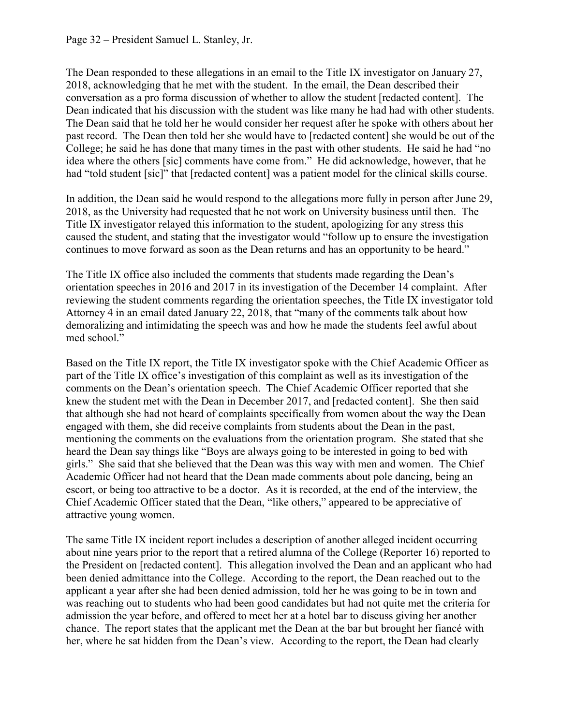The Dean responded to these allegations in an email to the Title IX investigator on January 27, 2018, acknowledging that he met with the student. In the email, the Dean described their conversation as a pro forma discussion of whether to allow the student [redacted content]. The Dean indicated that his discussion with the student was like many he had had with other students. The Dean said that he told her he would consider her request after he spoke with others about her past record. The Dean then told her she would have to [redacted content] she would be out of the College; he said he has done that many times in the past with other students. He said he had "no idea where the others [sic] comments have come from." He did acknowledge, however, that he had "told student [sic]" that [redacted content] was a patient model for the clinical skills course.

In addition, the Dean said he would respond to the allegations more fully in person after June 29, 2018, as the University had requested that he not work on University business until then. The Title IX investigator relayed this information to the student, apologizing for any stress this caused the student, and stating that the investigator would "follow up to ensure the investigation continues to move forward as soon as the Dean returns and has an opportunity to be heard."

The Title IX office also included the comments that students made regarding the Dean's orientation speeches in 2016 and 2017 in its investigation of the December 14 complaint. After reviewing the student comments regarding the orientation speeches, the Title IX investigator told Attorney 4 in an email dated January 22, 2018, that "many of the comments talk about how demoralizing and intimidating the speech was and how he made the students feel awful about med school."

Based on the Title IX report, the Title IX investigator spoke with the Chief Academic Officer as part of the Title IX office's investigation of this complaint as well as its investigation of the comments on the Dean's orientation speech. The Chief Academic Officer reported that she knew the student met with the Dean in December 2017, and [redacted content]. She then said that although she had not heard of complaints specifically from women about the way the Dean engaged with them, she did receive complaints from students about the Dean in the past, mentioning the comments on the evaluations from the orientation program. She stated that she heard the Dean say things like "Boys are always going to be interested in going to bed with girls." She said that she believed that the Dean was this way with men and women. The Chief Academic Officer had not heard that the Dean made comments about pole dancing, being an escort, or being too attractive to be a doctor. As it is recorded, at the end of the interview, the Chief Academic Officer stated that the Dean, "like others," appeared to be appreciative of attractive young women.

The same Title IX incident report includes a description of another alleged incident occurring about nine years prior to the report that a retired alumna of the College (Reporter 16) reported to the President on [redacted content]. This allegation involved the Dean and an applicant who had been denied admittance into the College. According to the report, the Dean reached out to the applicant a year after she had been denied admission, told her he was going to be in town and was reaching out to students who had been good candidates but had not quite met the criteria for admission the year before, and offered to meet her at a hotel bar to discuss giving her another chance. The report states that the applicant met the Dean at the bar but brought her fiancé with her, where he sat hidden from the Dean's view. According to the report, the Dean had clearly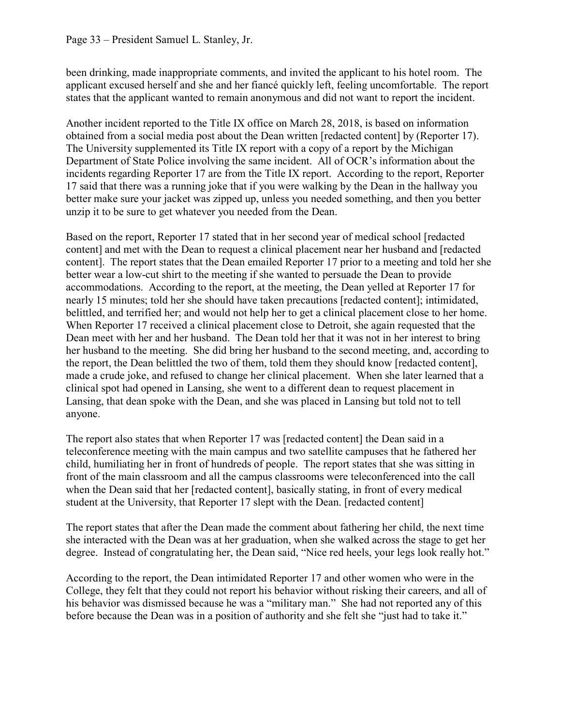been drinking, made inappropriate comments, and invited the applicant to his hotel room. The applicant excused herself and she and her fiancé quickly left, feeling uncomfortable. The report states that the applicant wanted to remain anonymous and did not want to report the incident.

Another incident reported to the Title IX office on March 28, 2018, is based on information obtained from a social media post about the Dean written [redacted content] by (Reporter 17). The University supplemented its Title IX report with a copy of a report by the Michigan Department of State Police involving the same incident. All of OCR's information about the incidents regarding Reporter 17 are from the Title IX report. According to the report, Reporter 17 said that there was a running joke that if you were walking by the Dean in the hallway you better make sure your jacket was zipped up, unless you needed something, and then you better unzip it to be sure to get whatever you needed from the Dean.

Based on the report, Reporter 17 stated that in her second year of medical school [redacted content] and met with the Dean to request a clinical placement near her husband and [redacted content]. The report states that the Dean emailed Reporter 17 prior to a meeting and told her she better wear a low-cut shirt to the meeting if she wanted to persuade the Dean to provide accommodations. According to the report, at the meeting, the Dean yelled at Reporter 17 for nearly 15 minutes; told her she should have taken precautions [redacted content]; intimidated, belittled, and terrified her; and would not help her to get a clinical placement close to her home. When Reporter 17 received a clinical placement close to Detroit, she again requested that the Dean meet with her and her husband. The Dean told her that it was not in her interest to bring her husband to the meeting. She did bring her husband to the second meeting, and, according to the report, the Dean belittled the two of them, told them they should know [redacted content], made a crude joke, and refused to change her clinical placement. When she later learned that a clinical spot had opened in Lansing, she went to a different dean to request placement in Lansing, that dean spoke with the Dean, and she was placed in Lansing but told not to tell anyone.

The report also states that when Reporter 17 was [redacted content] the Dean said in a teleconference meeting with the main campus and two satellite campuses that he fathered her child, humiliating her in front of hundreds of people. The report states that she was sitting in front of the main classroom and all the campus classrooms were teleconferenced into the call when the Dean said that her [redacted content], basically stating, in front of every medical student at the University, that Reporter 17 slept with the Dean. [redacted content]

The report states that after the Dean made the comment about fathering her child, the next time she interacted with the Dean was at her graduation, when she walked across the stage to get her degree. Instead of congratulating her, the Dean said, "Nice red heels, your legs look really hot."

According to the report, the Dean intimidated Reporter 17 and other women who were in the College, they felt that they could not report his behavior without risking their careers, and all of his behavior was dismissed because he was a "military man." She had not reported any of this before because the Dean was in a position of authority and she felt she "just had to take it."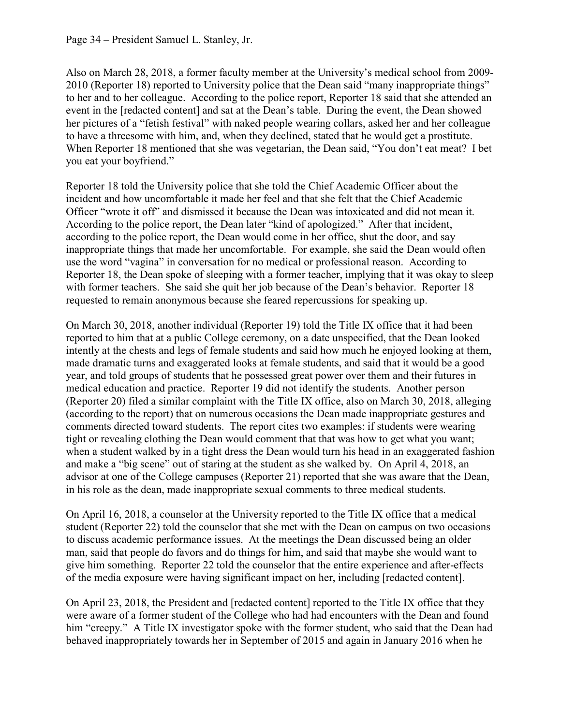Also on March 28, 2018, a former faculty member at the University's medical school from 2009- 2010 (Reporter 18) reported to University police that the Dean said "many inappropriate things" to her and to her colleague. According to the police report, Reporter 18 said that she attended an event in the [redacted content] and sat at the Dean's table. During the event, the Dean showed her pictures of a "fetish festival" with naked people wearing collars, asked her and her colleague to have a threesome with him, and, when they declined, stated that he would get a prostitute. When Reporter 18 mentioned that she was vegetarian, the Dean said, "You don't eat meat? I bet you eat your boyfriend."

Reporter 18 told the University police that she told the Chief Academic Officer about the incident and how uncomfortable it made her feel and that she felt that the Chief Academic Officer "wrote it off" and dismissed it because the Dean was intoxicated and did not mean it. According to the police report, the Dean later "kind of apologized." After that incident, according to the police report, the Dean would come in her office, shut the door, and say inappropriate things that made her uncomfortable. For example, she said the Dean would often use the word "vagina" in conversation for no medical or professional reason. According to Reporter 18, the Dean spoke of sleeping with a former teacher, implying that it was okay to sleep with former teachers. She said she quit her job because of the Dean's behavior. Reporter 18 requested to remain anonymous because she feared repercussions for speaking up.

On March 30, 2018, another individual (Reporter 19) told the Title IX office that it had been reported to him that at a public College ceremony, on a date unspecified, that the Dean looked intently at the chests and legs of female students and said how much he enjoyed looking at them, made dramatic turns and exaggerated looks at female students, and said that it would be a good year, and told groups of students that he possessed great power over them and their futures in medical education and practice. Reporter 19 did not identify the students. Another person (Reporter 20) filed a similar complaint with the Title IX office, also on March 30, 2018, alleging (according to the report) that on numerous occasions the Dean made inappropriate gestures and comments directed toward students. The report cites two examples: if students were wearing tight or revealing clothing the Dean would comment that that was how to get what you want; when a student walked by in a tight dress the Dean would turn his head in an exaggerated fashion and make a "big scene" out of staring at the student as she walked by. On April 4, 2018, an advisor at one of the College campuses (Reporter 21) reported that she was aware that the Dean, in his role as the dean, made inappropriate sexual comments to three medical students.

On April 16, 2018, a counselor at the University reported to the Title IX office that a medical student (Reporter 22) told the counselor that she met with the Dean on campus on two occasions to discuss academic performance issues. At the meetings the Dean discussed being an older man, said that people do favors and do things for him, and said that maybe she would want to give him something. Reporter 22 told the counselor that the entire experience and after-effects of the media exposure were having significant impact on her, including [redacted content].

On April 23, 2018, the President and [redacted content] reported to the Title IX office that they were aware of a former student of the College who had had encounters with the Dean and found him "creepy." A Title IX investigator spoke with the former student, who said that the Dean had behaved inappropriately towards her in September of 2015 and again in January 2016 when he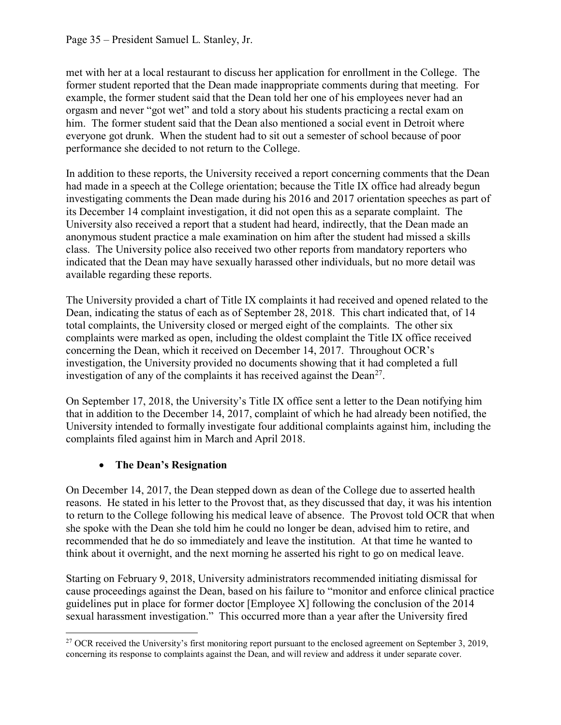met with her at a local restaurant to discuss her application for enrollment in the College. The former student reported that the Dean made inappropriate comments during that meeting. For example, the former student said that the Dean told her one of his employees never had an orgasm and never "got wet" and told a story about his students practicing a rectal exam on him. The former student said that the Dean also mentioned a social event in Detroit where everyone got drunk. When the student had to sit out a semester of school because of poor performance she decided to not return to the College.

In addition to these reports, the University received a report concerning comments that the Dean had made in a speech at the College orientation; because the Title IX office had already begun investigating comments the Dean made during his 2016 and 2017 orientation speeches as part of its December 14 complaint investigation, it did not open this as a separate complaint. The University also received a report that a student had heard, indirectly, that the Dean made an anonymous student practice a male examination on him after the student had missed a skills class. The University police also received two other reports from mandatory reporters who indicated that the Dean may have sexually harassed other individuals, but no more detail was available regarding these reports.

The University provided a chart of Title IX complaints it had received and opened related to the Dean, indicating the status of each as of September 28, 2018. This chart indicated that, of 14 total complaints, the University closed or merged eight of the complaints. The other six complaints were marked as open, including the oldest complaint the Title IX office received concerning the Dean, which it received on December 14, 2017. Throughout OCR's investigation, the University provided no documents showing that it had completed a full investigation of any of the complaints it has received against the  $Dean<sup>27</sup>$  $Dean<sup>27</sup>$  $Dean<sup>27</sup>$ .

On September 17, 2018, the University's Title IX office sent a letter to the Dean notifying him that in addition to the December 14, 2017, complaint of which he had already been notified, the University intended to formally investigate four additional complaints against him, including the complaints filed against him in March and April 2018.

## • **The Dean's Resignation**

On December 14, 2017, the Dean stepped down as dean of the College due to asserted health reasons. He stated in his letter to the Provost that, as they discussed that day, it was his intention to return to the College following his medical leave of absence. The Provost told OCR that when she spoke with the Dean she told him he could no longer be dean, advised him to retire, and recommended that he do so immediately and leave the institution. At that time he wanted to think about it overnight, and the next morning he asserted his right to go on medical leave.

Starting on February 9, 2018, University administrators recommended initiating dismissal for cause proceedings against the Dean, based on his failure to "monitor and enforce clinical practice guidelines put in place for former doctor [Employee X] following the conclusion of the 2014 sexual harassment investigation." This occurred more than a year after the University fired

<span id="page-34-0"></span><sup>&</sup>lt;sup>27</sup> OCR received the University's first monitoring report pursuant to the enclosed agreement on September 3, 2019, concerning its response to complaints against the Dean, and will review and address it under separate cover.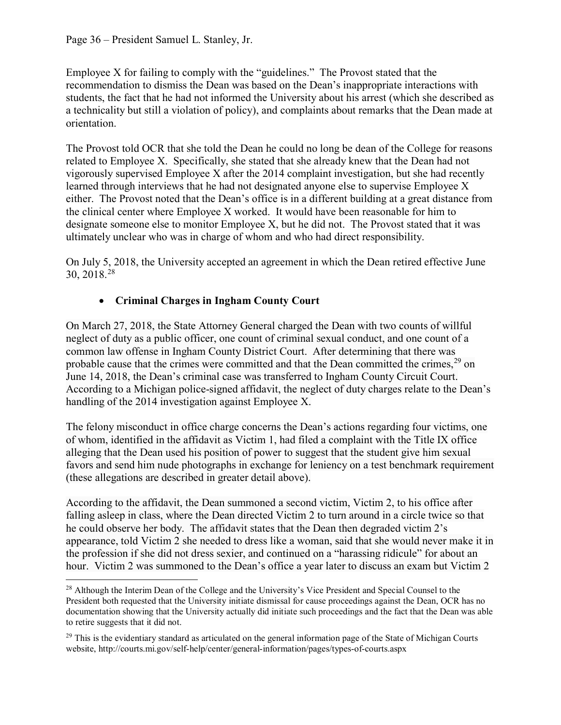Employee X for failing to comply with the "guidelines." The Provost stated that the recommendation to dismiss the Dean was based on the Dean's inappropriate interactions with students, the fact that he had not informed the University about his arrest (which she described as a technicality but still a violation of policy), and complaints about remarks that the Dean made at orientation.

The Provost told OCR that she told the Dean he could no long be dean of the College for reasons related to Employee X. Specifically, she stated that she already knew that the Dean had not vigorously supervised Employee X after the 2014 complaint investigation, but she had recently learned through interviews that he had not designated anyone else to supervise Employee X either. The Provost noted that the Dean's office is in a different building at a great distance from the clinical center where Employee X worked. It would have been reasonable for him to designate someone else to monitor Employee X, but he did not. The Provost stated that it was ultimately unclear who was in charge of whom and who had direct responsibility.

On July 5, 2018, the University accepted an agreement in which the Dean retired effective June 30, 2018.[28](#page-35-0) 

## • **Criminal Charges in Ingham County Court**

On March 27, 2018, the State Attorney General charged the Dean with two counts of willful neglect of duty as a public officer, one count of criminal sexual conduct, and one count of a common law offense in Ingham County District Court. After determining that there was probable cause that the crimes were committed and that the Dean committed the crimes,<sup>[29](#page-35-1)</sup> on June 14, 2018, the Dean's criminal case was transferred to Ingham County Circuit Court. According to a Michigan police-signed affidavit, the neglect of duty charges relate to the Dean's handling of the 2014 investigation against Employee X.

The felony misconduct in office charge concerns the Dean's actions regarding four victims, one of whom, identified in the affidavit as Victim 1, had filed a complaint with the Title IX office alleging that the Dean used his position of power to suggest that the student give him sexual favors and send him nude photographs in exchange for leniency on a test benchmark requirement (these allegations are described in greater detail above).

According to the affidavit, the Dean summoned a second victim, Victim 2, to his office after falling asleep in class, where the Dean directed Victim 2 to turn around in a circle twice so that he could observe her body. The affidavit states that the Dean then degraded victim 2's appearance, told Victim 2 she needed to dress like a woman, said that she would never make it in the profession if she did not dress sexier, and continued on a "harassing ridicule" for about an hour. Victim 2 was summoned to the Dean's office a year later to discuss an exam but Victim 2

<span id="page-35-0"></span><sup>&</sup>lt;sup>28</sup> Although the Interim Dean of the College and the University's Vice President and Special Counsel to the President both requested that the University initiate dismissal for cause proceedings against the Dean, OCR has no documentation showing that the University actually did initiate such proceedings and the fact that the Dean was able to retire suggests that it did not.

<span id="page-35-1"></span><sup>&</sup>lt;sup>29</sup> This is the evidentiary standard as articulated on the general information page of the State of Michigan Courts website, http://courts.mi.gov/self-help/center/general-information/pages/types-of-courts.aspx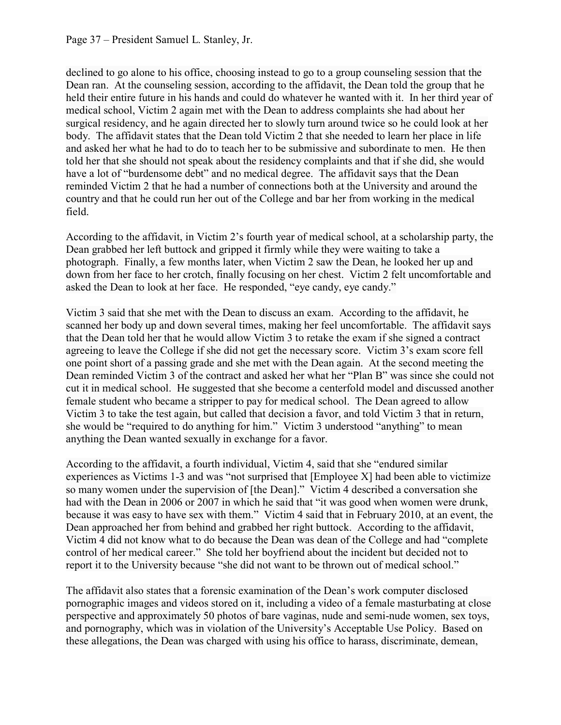declined to go alone to his office, choosing instead to go to a group counseling session that the Dean ran. At the counseling session, according to the affidavit, the Dean told the group that he held their entire future in his hands and could do whatever he wanted with it. In her third year of medical school, Victim 2 again met with the Dean to address complaints she had about her surgical residency, and he again directed her to slowly turn around twice so he could look at her body. The affidavit states that the Dean told Victim 2 that she needed to learn her place in life and asked her what he had to do to teach her to be submissive and subordinate to men. He then told her that she should not speak about the residency complaints and that if she did, she would have a lot of "burdensome debt" and no medical degree. The affidavit says that the Dean reminded Victim 2 that he had a number of connections both at the University and around the country and that he could run her out of the College and bar her from working in the medical field.

According to the affidavit, in Victim 2's fourth year of medical school, at a scholarship party, the Dean grabbed her left buttock and gripped it firmly while they were waiting to take a photograph. Finally, a few months later, when Victim 2 saw the Dean, he looked her up and down from her face to her crotch, finally focusing on her chest. Victim 2 felt uncomfortable and asked the Dean to look at her face. He responded, "eye candy, eye candy."

Victim 3 said that she met with the Dean to discuss an exam. According to the affidavit, he scanned her body up and down several times, making her feel uncomfortable. The affidavit says that the Dean told her that he would allow Victim 3 to retake the exam if she signed a contract agreeing to leave the College if she did not get the necessary score. Victim 3's exam score fell one point short of a passing grade and she met with the Dean again. At the second meeting the Dean reminded Victim 3 of the contract and asked her what her "Plan B" was since she could not cut it in medical school. He suggested that she become a centerfold model and discussed another female student who became a stripper to pay for medical school. The Dean agreed to allow Victim 3 to take the test again, but called that decision a favor, and told Victim 3 that in return, she would be "required to do anything for him." Victim 3 understood "anything" to mean anything the Dean wanted sexually in exchange for a favor.

According to the affidavit, a fourth individual, Victim 4, said that she "endured similar experiences as Victims 1-3 and was "not surprised that [Employee X] had been able to victimize so many women under the supervision of [the Dean]." Victim 4 described a conversation she had with the Dean in 2006 or 2007 in which he said that "it was good when women were drunk, because it was easy to have sex with them." Victim 4 said that in February 2010, at an event, the Dean approached her from behind and grabbed her right buttock. According to the affidavit, Victim 4 did not know what to do because the Dean was dean of the College and had "complete control of her medical career." She told her boyfriend about the incident but decided not to report it to the University because "she did not want to be thrown out of medical school."

The affidavit also states that a forensic examination of the Dean's work computer disclosed pornographic images and videos stored on it, including a video of a female masturbating at close perspective and approximately 50 photos of bare vaginas, nude and semi-nude women, sex toys, and pornography, which was in violation of the University's Acceptable Use Policy. Based on these allegations, the Dean was charged with using his office to harass, discriminate, demean,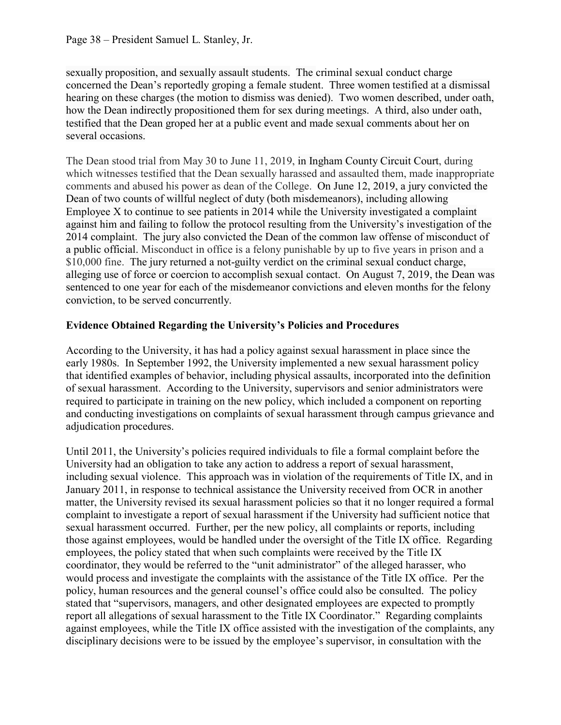sexually proposition, and sexually assault students. The criminal sexual conduct charge concerned the Dean's reportedly groping a female student. Three women testified at a dismissal hearing on these charges (the motion to dismiss was denied). Two women described, under oath, how the Dean indirectly propositioned them for sex during meetings. A third, also under oath, testified that the Dean groped her at a public event and made sexual comments about her on several occasions.

The Dean stood trial from May 30 to June 11, 2019, in Ingham County Circuit Court, during which witnesses testified that the Dean sexually harassed and assaulted them, made inappropriate comments and abused his power as dean of the College. On June 12, 2019, a jury convicted the Dean of two counts of willful neglect of duty (both misdemeanors), including allowing Employee X to continue to see patients in 2014 while the University investigated a complaint against him and failing to follow the protocol resulting from the University's investigation of the 2014 complaint. The jury also convicted the Dean of the common law offense of misconduct of a public official. Misconduct in office is a felony punishable by up to five years in prison and a \$10,000 fine. The jury returned a not-guilty verdict on the criminal sexual conduct charge, alleging use of force or coercion to accomplish sexual contact. On August 7, 2019, the Dean was sentenced to one year for each of the misdemeanor convictions and eleven months for the felony conviction, to be served concurrently.

## **Evidence Obtained Regarding the University's Policies and Procedures**

According to the University, it has had a policy against sexual harassment in place since the early 1980s. In September 1992, the University implemented a new sexual harassment policy that identified examples of behavior, including physical assaults, incorporated into the definition of sexual harassment. According to the University, supervisors and senior administrators were required to participate in training on the new policy, which included a component on reporting and conducting investigations on complaints of sexual harassment through campus grievance and adjudication procedures.

Until 2011, the University's policies required individuals to file a formal complaint before the University had an obligation to take any action to address a report of sexual harassment, including sexual violence. This approach was in violation of the requirements of Title IX, and in January 2011, in response to technical assistance the University received from OCR in another matter, the University revised its sexual harassment policies so that it no longer required a formal complaint to investigate a report of sexual harassment if the University had sufficient notice that sexual harassment occurred. Further, per the new policy, all complaints or reports, including those against employees, would be handled under the oversight of the Title IX office. Regarding employees, the policy stated that when such complaints were received by the Title IX coordinator, they would be referred to the "unit administrator" of the alleged harasser, who would process and investigate the complaints with the assistance of the Title IX office. Per the policy, human resources and the general counsel's office could also be consulted. The policy stated that "supervisors, managers, and other designated employees are expected to promptly report all allegations of sexual harassment to the Title IX Coordinator." Regarding complaints against employees, while the Title IX office assisted with the investigation of the complaints, any disciplinary decisions were to be issued by the employee's supervisor, in consultation with the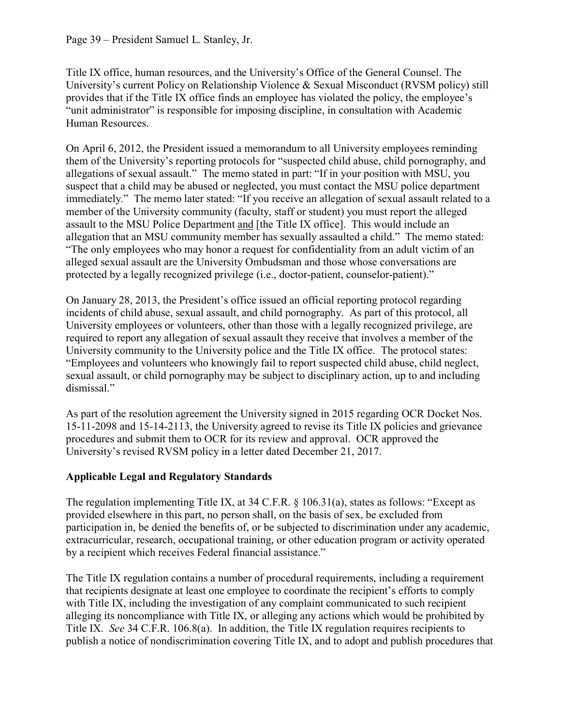Title IX office, human resources, and the University's Office of the General Counsel. The University's current Policy on Relationship Violence & Sexual Misconduct (RVSM policy) still provides that if the Title IX office finds an employee has violated the policy, the employee's "unit administrator" is responsible for imposing discipline, in consultation with Academic Human Resources.

On April 6, 2012, the President issued a memorandum to all University employees reminding them of the University's reporting protocols for "suspected child abuse, child pornography, and allegations of sexual assault." The memo stated in part: "If in your position with MSU, you suspect that a child may be abused or neglected, you must contact the MSU police department immediately." The memo later stated: "If you receive an allegation of sexual assault related to a member of the University community (faculty, staff or student) you must report the alleged assault to the MSU Police Department and [the Title IX office]. This would include an allegation that an MSU community member has sexually assaulted a child." The memo stated: "The only employees who may honor a request for confidentiality from an adult victim of an alleged sexual assault are the University Ombudsman and those whose conversations are protected by a legally recognized privilege (i.e., doctor-patient, counselor-patient)."

On January 28, 2013, the President's office issued an official reporting protocol regarding incidents of child abuse, sexual assault, and child pornography. As part of this protocol, all University employees or volunteers, other than those with a legally recognized privilege, are required to report any allegation of sexual assault they receive that involves a member of the University community to the University police and the Title IX office. The protocol states: "Employees and volunteers who knowingly fail to report suspected child abuse, child neglect, sexual assault, or child pornography may be subject to disciplinary action, up to and including dismissal."

As part of the resolution agreement the University signed in 2015 regarding OCR Docket Nos. 15-11-2098 and 15-14-2113, the University agreed to revise its Title IX policies and grievance procedures and submit them to OCR for its review and approval. OCR approved the University's revised RVSM policy in a letter dated December 21, 2017.

## **Applicable Legal and Regulatory Standards**

The regulation implementing Title IX, at 34 C.F.R. § 106.31(a), states as follows: "Except as provided elsewhere in this part, no person shall, on the basis of sex, be excluded from participation in, be denied the benefits of, or be subjected to discrimination under any academic, extracurricular, research, occupational training, or other education program or activity operated by a recipient which receives Federal financial assistance."

The Title IX regulation contains a number of procedural requirements, including a requirement that recipients designate at least one employee to coordinate the recipient's efforts to comply with Title IX, including the investigation of any complaint communicated to such recipient alleging its noncompliance with Title IX, or alleging any actions which would be prohibited by Title IX. *See* 34 C.F.R. 106.8(a). In addition, the Title IX regulation requires recipients to publish a notice of nondiscrimination covering Title IX, and to adopt and publish procedures that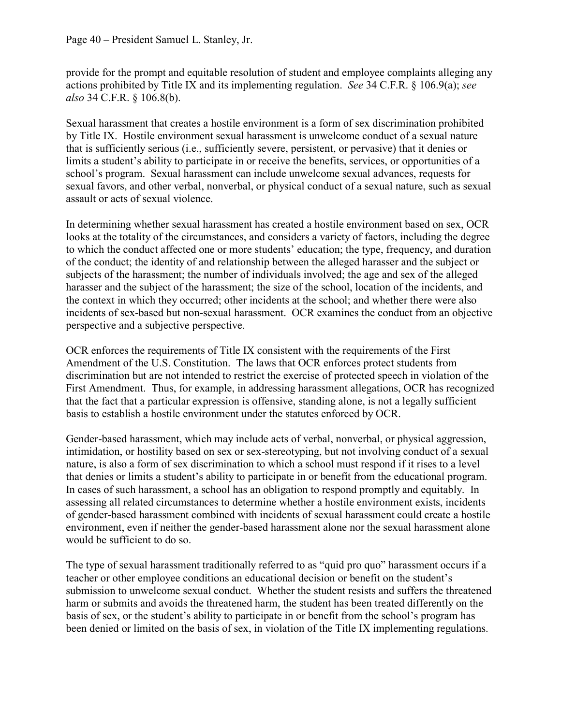#### Page 40 – President Samuel L. Stanley, Jr.

provide for the prompt and equitable resolution of student and employee complaints alleging any actions prohibited by Title IX and its implementing regulation. *See* 34 C.F.R. § 106.9(a); *see also* 34 C.F.R. § 106.8(b).

Sexual harassment that creates a hostile environment is a form of sex discrimination prohibited by Title IX. Hostile environment sexual harassment is unwelcome conduct of a sexual nature that is sufficiently serious (i.e., sufficiently severe, persistent, or pervasive) that it denies or limits a student's ability to participate in or receive the benefits, services, or opportunities of a school's program. Sexual harassment can include unwelcome sexual advances, requests for sexual favors, and other verbal, nonverbal, or physical conduct of a sexual nature, such as sexual assault or acts of sexual violence.

In determining whether sexual harassment has created a hostile environment based on sex, OCR looks at the totality of the circumstances, and considers a variety of factors, including the degree to which the conduct affected one or more students' education; the type, frequency, and duration of the conduct; the identity of and relationship between the alleged harasser and the subject or subjects of the harassment; the number of individuals involved; the age and sex of the alleged harasser and the subject of the harassment; the size of the school, location of the incidents, and the context in which they occurred; other incidents at the school; and whether there were also incidents of sex-based but non-sexual harassment. OCR examines the conduct from an objective perspective and a subjective perspective.

OCR enforces the requirements of Title IX consistent with the requirements of the First Amendment of the U.S. Constitution. The laws that OCR enforces protect students from discrimination but are not intended to restrict the exercise of protected speech in violation of the First Amendment. Thus, for example, in addressing harassment allegations, OCR has recognized that the fact that a particular expression is offensive, standing alone, is not a legally sufficient basis to establish a hostile environment under the statutes enforced by OCR.

Gender-based harassment, which may include acts of verbal, nonverbal, or physical aggression, intimidation, or hostility based on sex or sex-stereotyping, but not involving conduct of a sexual nature, is also a form of sex discrimination to which a school must respond if it rises to a level that denies or limits a student's ability to participate in or benefit from the educational program. In cases of such harassment, a school has an obligation to respond promptly and equitably. In assessing all related circumstances to determine whether a hostile environment exists, incidents of gender-based harassment combined with incidents of sexual harassment could create a hostile environment, even if neither the gender-based harassment alone nor the sexual harassment alone would be sufficient to do so.

The type of sexual harassment traditionally referred to as "quid pro quo" harassment occurs if a teacher or other employee conditions an educational decision or benefit on the student's submission to unwelcome sexual conduct. Whether the student resists and suffers the threatened harm or submits and avoids the threatened harm, the student has been treated differently on the basis of sex, or the student's ability to participate in or benefit from the school's program has been denied or limited on the basis of sex, in violation of the Title IX implementing regulations.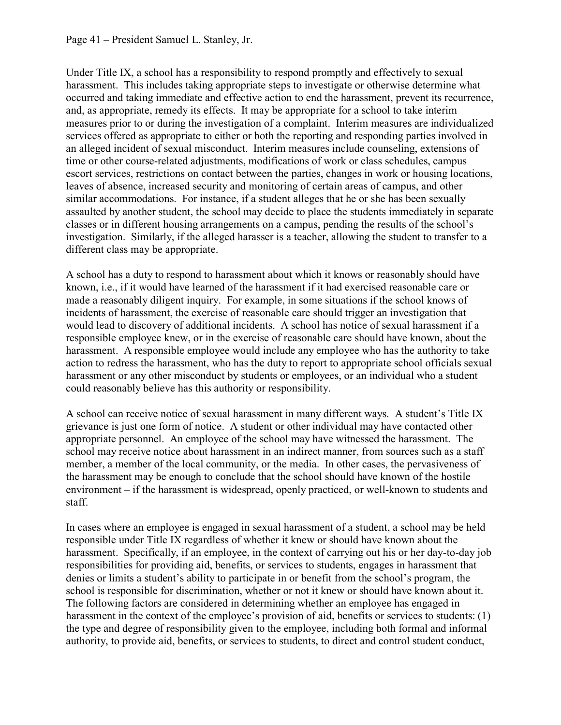#### Page 41 – President Samuel L. Stanley, Jr.

Under Title IX, a school has a responsibility to respond promptly and effectively to sexual harassment. This includes taking appropriate steps to investigate or otherwise determine what occurred and taking immediate and effective action to end the harassment, prevent its recurrence, and, as appropriate, remedy its effects. It may be appropriate for a school to take interim measures prior to or during the investigation of a complaint. Interim measures are individualized services offered as appropriate to either or both the reporting and responding parties involved in an alleged incident of sexual misconduct. Interim measures include counseling, extensions of time or other course-related adjustments, modifications of work or class schedules, campus escort services, restrictions on contact between the parties, changes in work or housing locations, leaves of absence, increased security and monitoring of certain areas of campus, and other similar accommodations. For instance, if a student alleges that he or she has been sexually assaulted by another student, the school may decide to place the students immediately in separate classes or in different housing arrangements on a campus, pending the results of the school's investigation. Similarly, if the alleged harasser is a teacher, allowing the student to transfer to a different class may be appropriate.

A school has a duty to respond to harassment about which it knows or reasonably should have known, i.e., if it would have learned of the harassment if it had exercised reasonable care or made a reasonably diligent inquiry. For example, in some situations if the school knows of incidents of harassment, the exercise of reasonable care should trigger an investigation that would lead to discovery of additional incidents. A school has notice of sexual harassment if a responsible employee knew, or in the exercise of reasonable care should have known, about the harassment. A responsible employee would include any employee who has the authority to take action to redress the harassment, who has the duty to report to appropriate school officials sexual harassment or any other misconduct by students or employees, or an individual who a student could reasonably believe has this authority or responsibility.

A school can receive notice of sexual harassment in many different ways. A student's Title IX grievance is just one form of notice. A student or other individual may have contacted other appropriate personnel. An employee of the school may have witnessed the harassment. The school may receive notice about harassment in an indirect manner, from sources such as a staff member, a member of the local community, or the media. In other cases, the pervasiveness of the harassment may be enough to conclude that the school should have known of the hostile environment – if the harassment is widespread, openly practiced, or well-known to students and staff.

In cases where an employee is engaged in sexual harassment of a student, a school may be held responsible under Title IX regardless of whether it knew or should have known about the harassment. Specifically, if an employee, in the context of carrying out his or her day-to-day job responsibilities for providing aid, benefits, or services to students, engages in harassment that denies or limits a student's ability to participate in or benefit from the school's program, the school is responsible for discrimination, whether or not it knew or should have known about it. The following factors are considered in determining whether an employee has engaged in harassment in the context of the employee's provision of aid, benefits or services to students: (1) the type and degree of responsibility given to the employee, including both formal and informal authority, to provide aid, benefits, or services to students, to direct and control student conduct,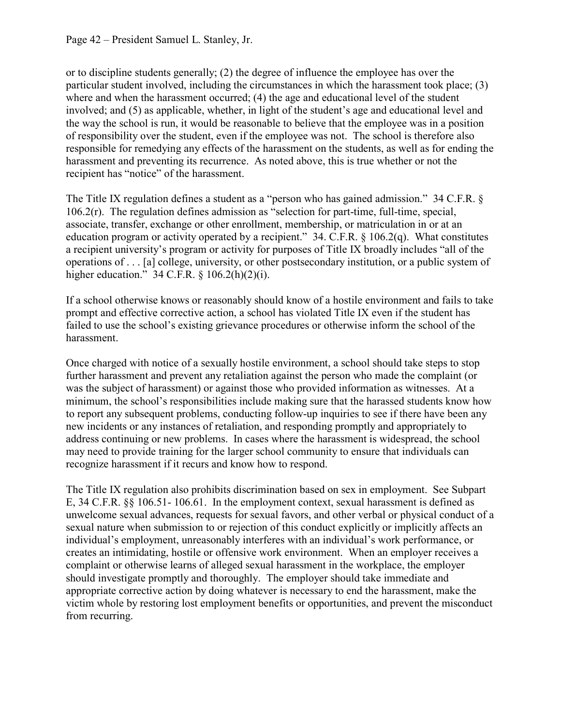or to discipline students generally; (2) the degree of influence the employee has over the particular student involved, including the circumstances in which the harassment took place; (3) where and when the harassment occurred; (4) the age and educational level of the student involved; and (5) as applicable, whether, in light of the student's age and educational level and the way the school is run, it would be reasonable to believe that the employee was in a position of responsibility over the student, even if the employee was not. The school is therefore also responsible for remedying any effects of the harassment on the students, as well as for ending the harassment and preventing its recurrence. As noted above, this is true whether or not the recipient has "notice" of the harassment.

The Title IX regulation defines a student as a "person who has gained admission." 34 C.F.R. § 106.2(r). The regulation defines admission as "selection for part-time, full-time, special, associate, transfer, exchange or other enrollment, membership, or matriculation in or at an education program or activity operated by a recipient." 34. C.F.R. § 106.2(q). What constitutes a recipient university's program or activity for purposes of Title IX broadly includes "all of the operations of . . . [a] college, university, or other postsecondary institution, or a public system of higher education." 34 C.F.R. § 106.2(h)(2)(i).

If a school otherwise knows or reasonably should know of a hostile environment and fails to take prompt and effective corrective action, a school has violated Title IX even if the student has failed to use the school's existing grievance procedures or otherwise inform the school of the harassment.

Once charged with notice of a sexually hostile environment, a school should take steps to stop further harassment and prevent any retaliation against the person who made the complaint (or was the subject of harassment) or against those who provided information as witnesses. At a minimum, the school's responsibilities include making sure that the harassed students know how to report any subsequent problems, conducting follow-up inquiries to see if there have been any new incidents or any instances of retaliation, and responding promptly and appropriately to address continuing or new problems. In cases where the harassment is widespread, the school may need to provide training for the larger school community to ensure that individuals can recognize harassment if it recurs and know how to respond.

The Title IX regulation also prohibits discrimination based on sex in employment. See Subpart E, 34 C.F.R. §§ 106.51- 106.61. In the employment context, sexual harassment is defined as unwelcome sexual advances, requests for sexual favors, and other verbal or physical conduct of a sexual nature when submission to or rejection of this conduct explicitly or implicitly affects an individual's employment, unreasonably interferes with an individual's work performance, or creates an intimidating, hostile or offensive work environment. When an employer receives a complaint or otherwise learns of alleged sexual harassment in the workplace, the employer should investigate promptly and thoroughly. The employer should take immediate and appropriate corrective action by doing whatever is necessary to end the harassment, make the victim whole by restoring lost employment benefits or opportunities, and prevent the misconduct from recurring.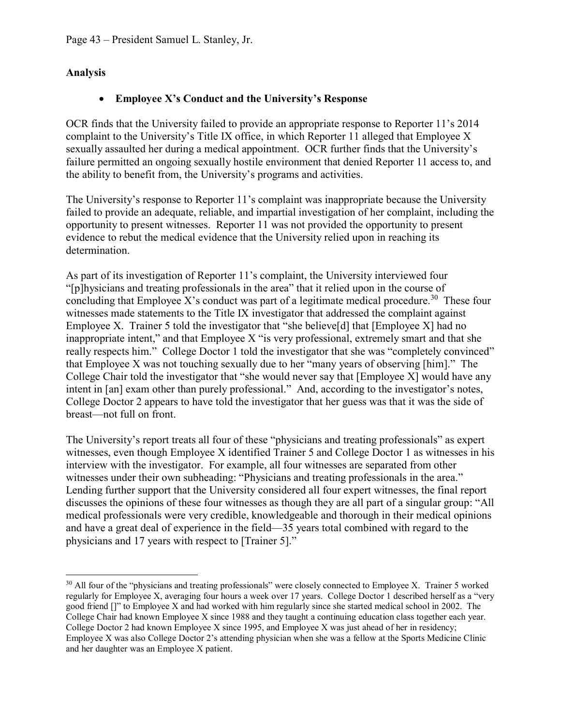### **Analysis**

## • **Employee X's Conduct and the University's Response**

OCR finds that the University failed to provide an appropriate response to Reporter 11's 2014 complaint to the University's Title IX office, in which Reporter 11 alleged that Employee X sexually assaulted her during a medical appointment. OCR further finds that the University's failure permitted an ongoing sexually hostile environment that denied Reporter 11 access to, and the ability to benefit from, the University's programs and activities.

The University's response to Reporter 11's complaint was inappropriate because the University failed to provide an adequate, reliable, and impartial investigation of her complaint, including the opportunity to present witnesses. Reporter 11 was not provided the opportunity to present evidence to rebut the medical evidence that the University relied upon in reaching its determination.

As part of its investigation of Reporter 11's complaint, the University interviewed four "[p]hysicians and treating professionals in the area" that it relied upon in the course of concluding that Employee X's conduct was part of a legitimate medical procedure.<sup>[30](#page-42-0)</sup> These four witnesses made statements to the Title IX investigator that addressed the complaint against Employee X. Trainer 5 told the investigator that "she believe[d] that [Employee X] had no inappropriate intent," and that Employee X "is very professional, extremely smart and that she really respects him." College Doctor 1 told the investigator that she was "completely convinced" that Employee X was not touching sexually due to her "many years of observing [him]." The College Chair told the investigator that "she would never say that [Employee X] would have any intent in [an] exam other than purely professional." And, according to the investigator's notes, College Doctor 2 appears to have told the investigator that her guess was that it was the side of breast—not full on front.

The University's report treats all four of these "physicians and treating professionals" as expert witnesses, even though Employee X identified Trainer 5 and College Doctor 1 as witnesses in his interview with the investigator. For example, all four witnesses are separated from other witnesses under their own subheading: "Physicians and treating professionals in the area." Lending further support that the University considered all four expert witnesses, the final report discusses the opinions of these four witnesses as though they are all part of a singular group: "All medical professionals were very credible, knowledgeable and thorough in their medical opinions and have a great deal of experience in the field—35 years total combined with regard to the physicians and 17 years with respect to [Trainer 5]."

<span id="page-42-0"></span><sup>&</sup>lt;sup>30</sup> All four of the "physicians and treating professionals" were closely connected to Employee X. Trainer 5 worked regularly for Employee X, averaging four hours a week over 17 years. College Doctor 1 described herself as a "very good friend []" to Employee X and had worked with him regularly since she started medical school in 2002. The College Chair had known Employee X since 1988 and they taught a continuing education class together each year. College Doctor 2 had known Employee X since 1995, and Employee X was just ahead of her in residency; Employee X was also College Doctor 2's attending physician when she was a fellow at the Sports Medicine Clinic and her daughter was an Employee X patient.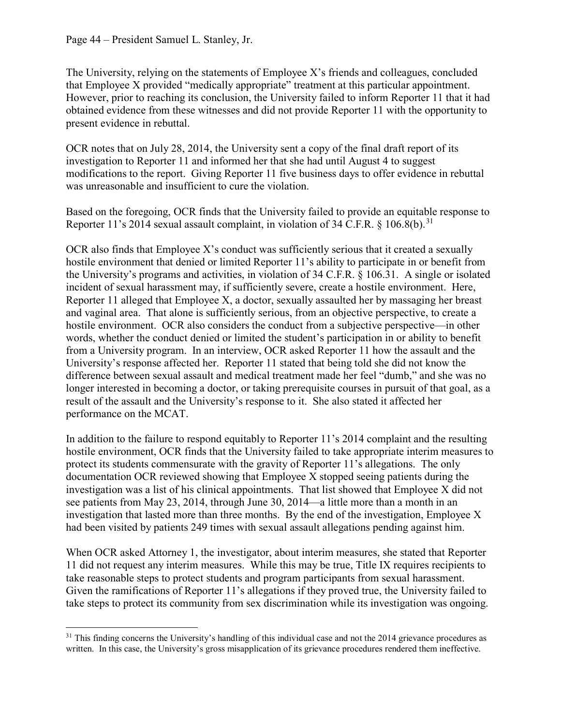The University, relying on the statements of Employee X's friends and colleagues, concluded that Employee X provided "medically appropriate" treatment at this particular appointment. However, prior to reaching its conclusion, the University failed to inform Reporter 11 that it had obtained evidence from these witnesses and did not provide Reporter 11 with the opportunity to present evidence in rebuttal.

OCR notes that on July 28, 2014, the University sent a copy of the final draft report of its investigation to Reporter 11 and informed her that she had until August 4 to suggest modifications to the report. Giving Reporter 11 five business days to offer evidence in rebuttal was unreasonable and insufficient to cure the violation.

Based on the foregoing, OCR finds that the University failed to provide an equitable response to Reporter 11's 2014 sexual assault complaint, in violation of 34 C.F.R.  $\S$  106.8(b).<sup>[31](#page-43-0)</sup>

OCR also finds that Employee X's conduct was sufficiently serious that it created a sexually hostile environment that denied or limited Reporter 11's ability to participate in or benefit from the University's programs and activities, in violation of 34 C.F.R. § 106.31. A single or isolated incident of sexual harassment may, if sufficiently severe, create a hostile environment. Here, Reporter 11 alleged that Employee X, a doctor, sexually assaulted her by massaging her breast and vaginal area. That alone is sufficiently serious, from an objective perspective, to create a hostile environment. OCR also considers the conduct from a subjective perspective—in other words, whether the conduct denied or limited the student's participation in or ability to benefit from a University program. In an interview, OCR asked Reporter 11 how the assault and the University's response affected her. Reporter 11 stated that being told she did not know the difference between sexual assault and medical treatment made her feel "dumb," and she was no longer interested in becoming a doctor, or taking prerequisite courses in pursuit of that goal, as a result of the assault and the University's response to it. She also stated it affected her performance on the MCAT.

In addition to the failure to respond equitably to Reporter 11's 2014 complaint and the resulting hostile environment, OCR finds that the University failed to take appropriate interim measures to protect its students commensurate with the gravity of Reporter 11's allegations. The only documentation OCR reviewed showing that Employee X stopped seeing patients during the investigation was a list of his clinical appointments. That list showed that Employee X did not see patients from May 23, 2014, through June 30, 2014—a little more than a month in an investigation that lasted more than three months. By the end of the investigation, Employee X had been visited by patients 249 times with sexual assault allegations pending against him.

When OCR asked Attorney 1, the investigator, about interim measures, she stated that Reporter 11 did not request any interim measures. While this may be true, Title IX requires recipients to take reasonable steps to protect students and program participants from sexual harassment. Given the ramifications of Reporter 11's allegations if they proved true, the University failed to take steps to protect its community from sex discrimination while its investigation was ongoing.

<span id="page-43-0"></span> $31$  This finding concerns the University's handling of this individual case and not the 2014 grievance procedures as written. In this case, the University's gross misapplication of its grievance procedures rendered them ineffective.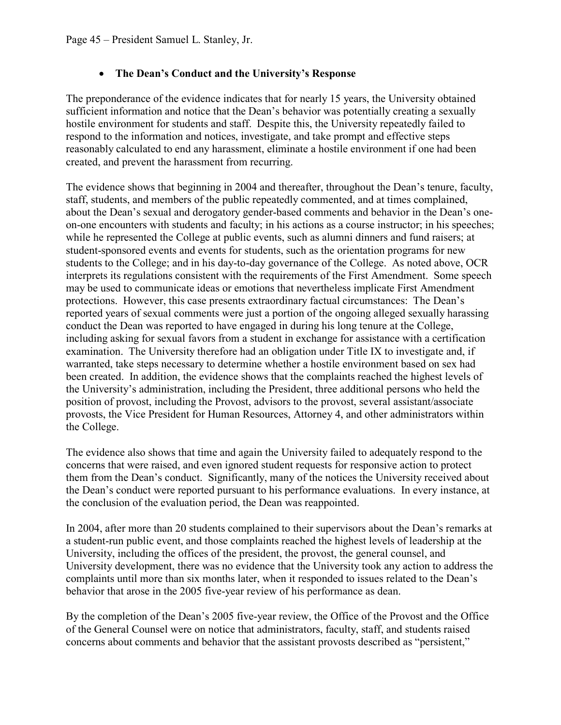## • **The Dean's Conduct and the University's Response**

The preponderance of the evidence indicates that for nearly 15 years, the University obtained sufficient information and notice that the Dean's behavior was potentially creating a sexually hostile environment for students and staff. Despite this, the University repeatedly failed to respond to the information and notices, investigate, and take prompt and effective steps reasonably calculated to end any harassment, eliminate a hostile environment if one had been created, and prevent the harassment from recurring.

The evidence shows that beginning in 2004 and thereafter, throughout the Dean's tenure, faculty, staff, students, and members of the public repeatedly commented, and at times complained, about the Dean's sexual and derogatory gender-based comments and behavior in the Dean's oneon-one encounters with students and faculty; in his actions as a course instructor; in his speeches; while he represented the College at public events, such as alumni dinners and fund raisers; at student-sponsored events and events for students, such as the orientation programs for new students to the College; and in his day-to-day governance of the College. As noted above, OCR interprets its regulations consistent with the requirements of the First Amendment. Some speech may be used to communicate ideas or emotions that nevertheless implicate First Amendment protections. However, this case presents extraordinary factual circumstances: The Dean's reported years of sexual comments were just a portion of the ongoing alleged sexually harassing conduct the Dean was reported to have engaged in during his long tenure at the College, including asking for sexual favors from a student in exchange for assistance with a certification examination. The University therefore had an obligation under Title IX to investigate and, if warranted, take steps necessary to determine whether a hostile environment based on sex had been created. In addition, the evidence shows that the complaints reached the highest levels of the University's administration, including the President, three additional persons who held the position of provost, including the Provost, advisors to the provost, several assistant/associate provosts, the Vice President for Human Resources, Attorney 4, and other administrators within the College.

The evidence also shows that time and again the University failed to adequately respond to the concerns that were raised, and even ignored student requests for responsive action to protect them from the Dean's conduct. Significantly, many of the notices the University received about the Dean's conduct were reported pursuant to his performance evaluations. In every instance, at the conclusion of the evaluation period, the Dean was reappointed.

In 2004, after more than 20 students complained to their supervisors about the Dean's remarks at a student-run public event, and those complaints reached the highest levels of leadership at the University, including the offices of the president, the provost, the general counsel, and University development, there was no evidence that the University took any action to address the complaints until more than six months later, when it responded to issues related to the Dean's behavior that arose in the 2005 five-year review of his performance as dean.

By the completion of the Dean's 2005 five-year review, the Office of the Provost and the Office of the General Counsel were on notice that administrators, faculty, staff, and students raised concerns about comments and behavior that the assistant provosts described as "persistent,"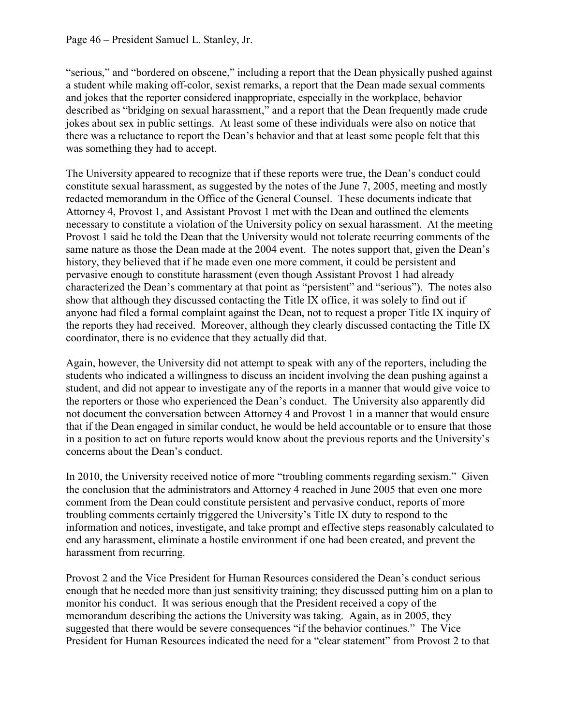"serious," and "bordered on obscene," including a report that the Dean physically pushed against a student while making off-color, sexist remarks, a report that the Dean made sexual comments and jokes that the reporter considered inappropriate, especially in the workplace, behavior described as "bridging on sexual harassment," and a report that the Dean frequently made crude jokes about sex in public settings. At least some of these individuals were also on notice that there was a reluctance to report the Dean's behavior and that at least some people felt that this was something they had to accept.

The University appeared to recognize that if these reports were true, the Dean's conduct could constitute sexual harassment, as suggested by the notes of the June 7, 2005, meeting and mostly redacted memorandum in the Office of the General Counsel. These documents indicate that Attorney 4, Provost 1, and Assistant Provost 1 met with the Dean and outlined the elements necessary to constitute a violation of the University policy on sexual harassment. At the meeting Provost 1 said he told the Dean that the University would not tolerate recurring comments of the same nature as those the Dean made at the 2004 event. The notes support that, given the Dean's history, they believed that if he made even one more comment, it could be persistent and pervasive enough to constitute harassment (even though Assistant Provost 1 had already characterized the Dean's commentary at that point as "persistent" and "serious"). The notes also show that although they discussed contacting the Title IX office, it was solely to find out if anyone had filed a formal complaint against the Dean, not to request a proper Title IX inquiry of the reports they had received. Moreover, although they clearly discussed contacting the Title IX coordinator, there is no evidence that they actually did that.

Again, however, the University did not attempt to speak with any of the reporters, including the students who indicated a willingness to discuss an incident involving the dean pushing against a student, and did not appear to investigate any of the reports in a manner that would give voice to the reporters or those who experienced the Dean's conduct. The University also apparently did not document the conversation between Attorney 4 and Provost 1 in a manner that would ensure that if the Dean engaged in similar conduct, he would be held accountable or to ensure that those in a position to act on future reports would know about the previous reports and the University's concerns about the Dean's conduct.

In 2010, the University received notice of more "troubling comments regarding sexism." Given the conclusion that the administrators and Attorney 4 reached in June 2005 that even one more comment from the Dean could constitute persistent and pervasive conduct, reports of more troubling comments certainly triggered the University's Title IX duty to respond to the information and notices, investigate, and take prompt and effective steps reasonably calculated to end any harassment, eliminate a hostile environment if one had been created, and prevent the harassment from recurring.

Provost 2 and the Vice President for Human Resources considered the Dean's conduct serious enough that he needed more than just sensitivity training; they discussed putting him on a plan to monitor his conduct. It was serious enough that the President received a copy of the memorandum describing the actions the University was taking. Again, as in 2005, they suggested that there would be severe consequences "if the behavior continues." The Vice President for Human Resources indicated the need for a "clear statement" from Provost 2 to that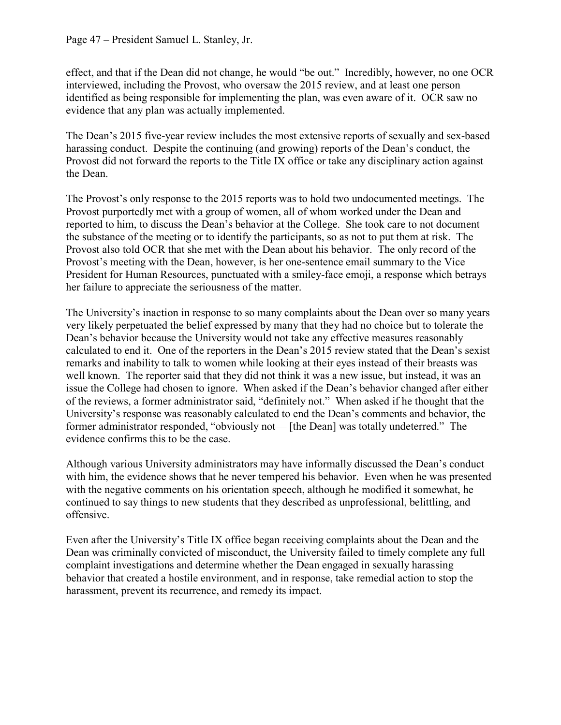effect, and that if the Dean did not change, he would "be out." Incredibly, however, no one OCR interviewed, including the Provost, who oversaw the 2015 review, and at least one person identified as being responsible for implementing the plan, was even aware of it. OCR saw no evidence that any plan was actually implemented.

The Dean's 2015 five-year review includes the most extensive reports of sexually and sex-based harassing conduct. Despite the continuing (and growing) reports of the Dean's conduct, the Provost did not forward the reports to the Title IX office or take any disciplinary action against the Dean.

The Provost's only response to the 2015 reports was to hold two undocumented meetings. The Provost purportedly met with a group of women, all of whom worked under the Dean and reported to him, to discuss the Dean's behavior at the College. She took care to not document the substance of the meeting or to identify the participants, so as not to put them at risk. The Provost also told OCR that she met with the Dean about his behavior. The only record of the Provost's meeting with the Dean, however, is her one-sentence email summary to the Vice President for Human Resources, punctuated with a smiley-face emoji, a response which betrays her failure to appreciate the seriousness of the matter.

The University's inaction in response to so many complaints about the Dean over so many years very likely perpetuated the belief expressed by many that they had no choice but to tolerate the Dean's behavior because the University would not take any effective measures reasonably calculated to end it. One of the reporters in the Dean's 2015 review stated that the Dean's sexist remarks and inability to talk to women while looking at their eyes instead of their breasts was well known. The reporter said that they did not think it was a new issue, but instead, it was an issue the College had chosen to ignore. When asked if the Dean's behavior changed after either of the reviews, a former administrator said, "definitely not." When asked if he thought that the University's response was reasonably calculated to end the Dean's comments and behavior, the former administrator responded, "obviously not— [the Dean] was totally undeterred." The evidence confirms this to be the case.

Although various University administrators may have informally discussed the Dean's conduct with him, the evidence shows that he never tempered his behavior. Even when he was presented with the negative comments on his orientation speech, although he modified it somewhat, he continued to say things to new students that they described as unprofessional, belittling, and offensive.

Even after the University's Title IX office began receiving complaints about the Dean and the Dean was criminally convicted of misconduct, the University failed to timely complete any full complaint investigations and determine whether the Dean engaged in sexually harassing behavior that created a hostile environment, and in response, take remedial action to stop the harassment, prevent its recurrence, and remedy its impact.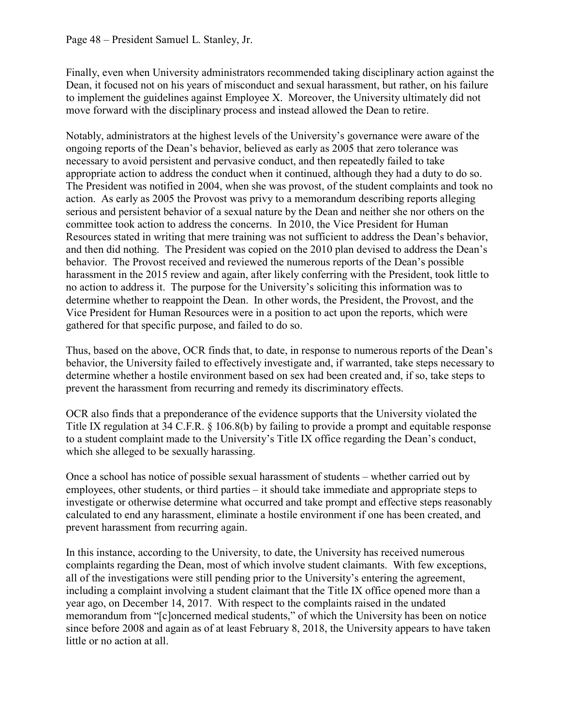Finally, even when University administrators recommended taking disciplinary action against the Dean, it focused not on his years of misconduct and sexual harassment, but rather, on his failure to implement the guidelines against Employee X. Moreover, the University ultimately did not move forward with the disciplinary process and instead allowed the Dean to retire.

Notably, administrators at the highest levels of the University's governance were aware of the ongoing reports of the Dean's behavior, believed as early as 2005 that zero tolerance was necessary to avoid persistent and pervasive conduct, and then repeatedly failed to take appropriate action to address the conduct when it continued, although they had a duty to do so. The President was notified in 2004, when she was provost, of the student complaints and took no action. As early as 2005 the Provost was privy to a memorandum describing reports alleging serious and persistent behavior of a sexual nature by the Dean and neither she nor others on the committee took action to address the concerns. In 2010, the Vice President for Human Resources stated in writing that mere training was not sufficient to address the Dean's behavior, and then did nothing. The President was copied on the 2010 plan devised to address the Dean's behavior. The Provost received and reviewed the numerous reports of the Dean's possible harassment in the 2015 review and again, after likely conferring with the President, took little to no action to address it. The purpose for the University's soliciting this information was to determine whether to reappoint the Dean. In other words, the President, the Provost, and the Vice President for Human Resources were in a position to act upon the reports, which were gathered for that specific purpose, and failed to do so.

Thus, based on the above, OCR finds that, to date, in response to numerous reports of the Dean's behavior, the University failed to effectively investigate and, if warranted, take steps necessary to determine whether a hostile environment based on sex had been created and, if so, take steps to prevent the harassment from recurring and remedy its discriminatory effects.

OCR also finds that a preponderance of the evidence supports that the University violated the Title IX regulation at 34 C.F.R. § 106.8(b) by failing to provide a prompt and equitable response to a student complaint made to the University's Title IX office regarding the Dean's conduct, which she alleged to be sexually harassing.

Once a school has notice of possible sexual harassment of students – whether carried out by employees, other students, or third parties – it should take immediate and appropriate steps to investigate or otherwise determine what occurred and take prompt and effective steps reasonably calculated to end any harassment, eliminate a hostile environment if one has been created, and prevent harassment from recurring again.

In this instance, according to the University, to date, the University has received numerous complaints regarding the Dean, most of which involve student claimants. With few exceptions, all of the investigations were still pending prior to the University's entering the agreement, including a complaint involving a student claimant that the Title IX office opened more than a year ago, on December 14, 2017. With respect to the complaints raised in the undated memorandum from "[c]oncerned medical students," of which the University has been on notice since before 2008 and again as of at least February 8, 2018, the University appears to have taken little or no action at all.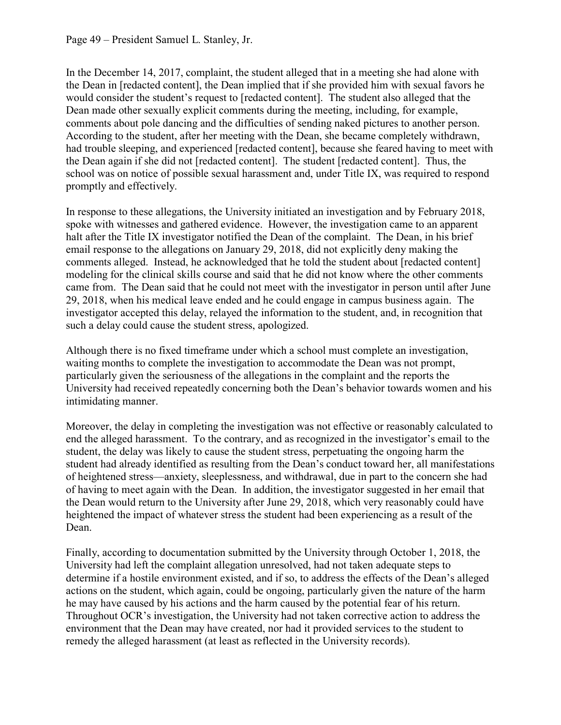In the December 14, 2017, complaint, the student alleged that in a meeting she had alone with the Dean in [redacted content], the Dean implied that if she provided him with sexual favors he would consider the student's request to [redacted content]. The student also alleged that the Dean made other sexually explicit comments during the meeting, including, for example, comments about pole dancing and the difficulties of sending naked pictures to another person. According to the student, after her meeting with the Dean, she became completely withdrawn, had trouble sleeping, and experienced [redacted content], because she feared having to meet with the Dean again if she did not [redacted content]. The student [redacted content]. Thus, the school was on notice of possible sexual harassment and, under Title IX, was required to respond promptly and effectively.

In response to these allegations, the University initiated an investigation and by February 2018, spoke with witnesses and gathered evidence. However, the investigation came to an apparent halt after the Title IX investigator notified the Dean of the complaint. The Dean, in his brief email response to the allegations on January 29, 2018, did not explicitly deny making the comments alleged. Instead, he acknowledged that he told the student about [redacted content] modeling for the clinical skills course and said that he did not know where the other comments came from. The Dean said that he could not meet with the investigator in person until after June 29, 2018, when his medical leave ended and he could engage in campus business again. The investigator accepted this delay, relayed the information to the student, and, in recognition that such a delay could cause the student stress, apologized.

Although there is no fixed timeframe under which a school must complete an investigation, waiting months to complete the investigation to accommodate the Dean was not prompt, particularly given the seriousness of the allegations in the complaint and the reports the University had received repeatedly concerning both the Dean's behavior towards women and his intimidating manner.

Moreover, the delay in completing the investigation was not effective or reasonably calculated to end the alleged harassment. To the contrary, and as recognized in the investigator's email to the student, the delay was likely to cause the student stress, perpetuating the ongoing harm the student had already identified as resulting from the Dean's conduct toward her, all manifestations of heightened stress—anxiety, sleeplessness, and withdrawal, due in part to the concern she had of having to meet again with the Dean. In addition, the investigator suggested in her email that the Dean would return to the University after June 29, 2018, which very reasonably could have heightened the impact of whatever stress the student had been experiencing as a result of the Dean.

Finally, according to documentation submitted by the University through October 1, 2018, the University had left the complaint allegation unresolved, had not taken adequate steps to determine if a hostile environment existed, and if so, to address the effects of the Dean's alleged actions on the student, which again, could be ongoing, particularly given the nature of the harm he may have caused by his actions and the harm caused by the potential fear of his return. Throughout OCR's investigation, the University had not taken corrective action to address the environment that the Dean may have created, nor had it provided services to the student to remedy the alleged harassment (at least as reflected in the University records).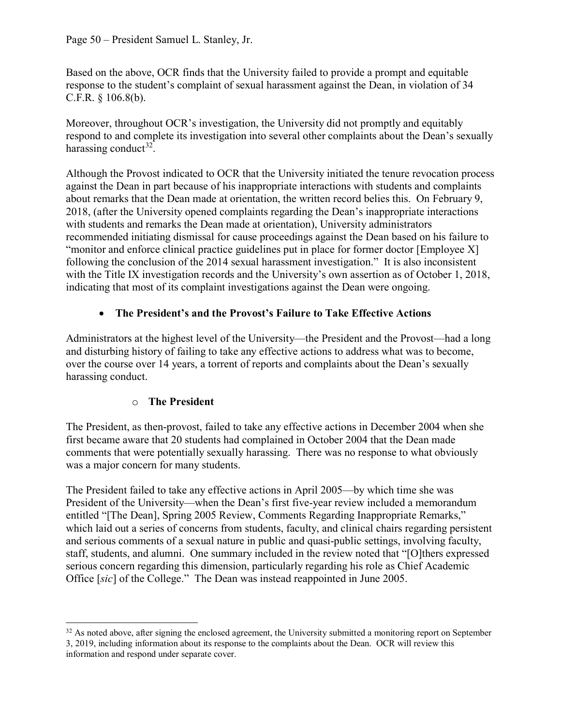Based on the above, OCR finds that the University failed to provide a prompt and equitable response to the student's complaint of sexual harassment against the Dean, in violation of 34 C.F.R. § 106.8(b).

Moreover, throughout OCR's investigation, the University did not promptly and equitably respond to and complete its investigation into several other complaints about the Dean's sexually harassing conduct<sup>32</sup>.

Although the Provost indicated to OCR that the University initiated the tenure revocation process against the Dean in part because of his inappropriate interactions with students and complaints about remarks that the Dean made at orientation, the written record belies this. On February 9, 2018, (after the University opened complaints regarding the Dean's inappropriate interactions with students and remarks the Dean made at orientation), University administrators recommended initiating dismissal for cause proceedings against the Dean based on his failure to "monitor and enforce clinical practice guidelines put in place for former doctor [Employee X] following the conclusion of the 2014 sexual harassment investigation." It is also inconsistent with the Title IX investigation records and the University's own assertion as of October 1, 2018, indicating that most of its complaint investigations against the Dean were ongoing.

## • **The President's and the Provost's Failure to Take Effective Actions**

Administrators at the highest level of the University—the President and the Provost—had a long and disturbing history of failing to take any effective actions to address what was to become, over the course over 14 years, a torrent of reports and complaints about the Dean's sexually harassing conduct.

## o **The President**

The President, as then-provost, failed to take any effective actions in December 2004 when she first became aware that 20 students had complained in October 2004 that the Dean made comments that were potentially sexually harassing. There was no response to what obviously was a major concern for many students.

The President failed to take any effective actions in April 2005—by which time she was President of the University—when the Dean's first five-year review included a memorandum entitled "[The Dean], Spring 2005 Review, Comments Regarding Inappropriate Remarks," which laid out a series of concerns from students, faculty, and clinical chairs regarding persistent and serious comments of a sexual nature in public and quasi-public settings, involving faculty, staff, students, and alumni. One summary included in the review noted that "[O]thers expressed serious concern regarding this dimension, particularly regarding his role as Chief Academic Office [*sic*] of the College." The Dean was instead reappointed in June 2005.

<span id="page-49-0"></span> $32$  As noted above, after signing the enclosed agreement, the University submitted a monitoring report on September 3, 2019, including information about its response to the complaints about the Dean. OCR will review this information and respond under separate cover.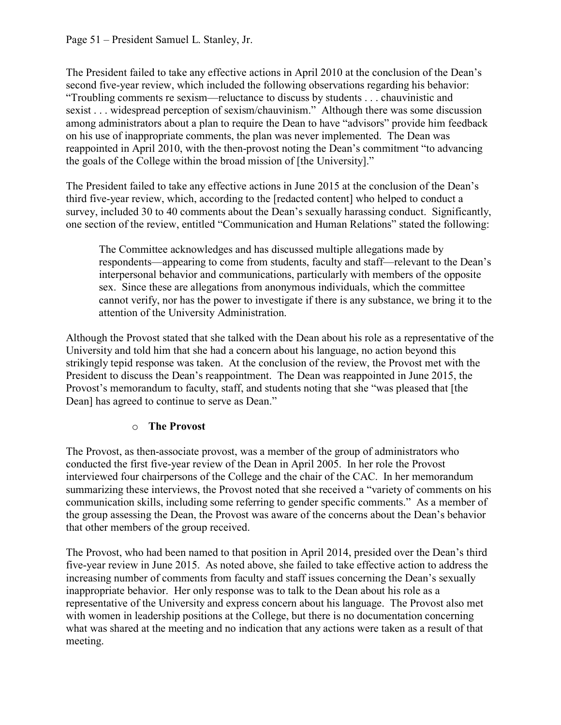The President failed to take any effective actions in April 2010 at the conclusion of the Dean's second five-year review, which included the following observations regarding his behavior: "Troubling comments re sexism—reluctance to discuss by students . . . chauvinistic and sexist . . . widespread perception of sexism/chauvinism." Although there was some discussion among administrators about a plan to require the Dean to have "advisors" provide him feedback on his use of inappropriate comments, the plan was never implemented. The Dean was reappointed in April 2010, with the then-provost noting the Dean's commitment "to advancing the goals of the College within the broad mission of [the University]."

The President failed to take any effective actions in June 2015 at the conclusion of the Dean's third five-year review, which, according to the [redacted content] who helped to conduct a survey, included 30 to 40 comments about the Dean's sexually harassing conduct. Significantly, one section of the review, entitled "Communication and Human Relations" stated the following:

The Committee acknowledges and has discussed multiple allegations made by respondents—appearing to come from students, faculty and staff—relevant to the Dean's interpersonal behavior and communications, particularly with members of the opposite sex. Since these are allegations from anonymous individuals, which the committee cannot verify, nor has the power to investigate if there is any substance, we bring it to the attention of the University Administration.

Although the Provost stated that she talked with the Dean about his role as a representative of the University and told him that she had a concern about his language, no action beyond this strikingly tepid response was taken. At the conclusion of the review, the Provost met with the President to discuss the Dean's reappointment. The Dean was reappointed in June 2015, the Provost's memorandum to faculty, staff, and students noting that she "was pleased that [the Dean] has agreed to continue to serve as Dean."

## o **The Provost**

The Provost, as then-associate provost, was a member of the group of administrators who conducted the first five-year review of the Dean in April 2005. In her role the Provost interviewed four chairpersons of the College and the chair of the CAC. In her memorandum summarizing these interviews, the Provost noted that she received a "variety of comments on his communication skills, including some referring to gender specific comments." As a member of the group assessing the Dean, the Provost was aware of the concerns about the Dean's behavior that other members of the group received.

The Provost, who had been named to that position in April 2014, presided over the Dean's third five-year review in June 2015. As noted above, she failed to take effective action to address the increasing number of comments from faculty and staff issues concerning the Dean's sexually inappropriate behavior. Her only response was to talk to the Dean about his role as a representative of the University and express concern about his language. The Provost also met with women in leadership positions at the College, but there is no documentation concerning what was shared at the meeting and no indication that any actions were taken as a result of that meeting.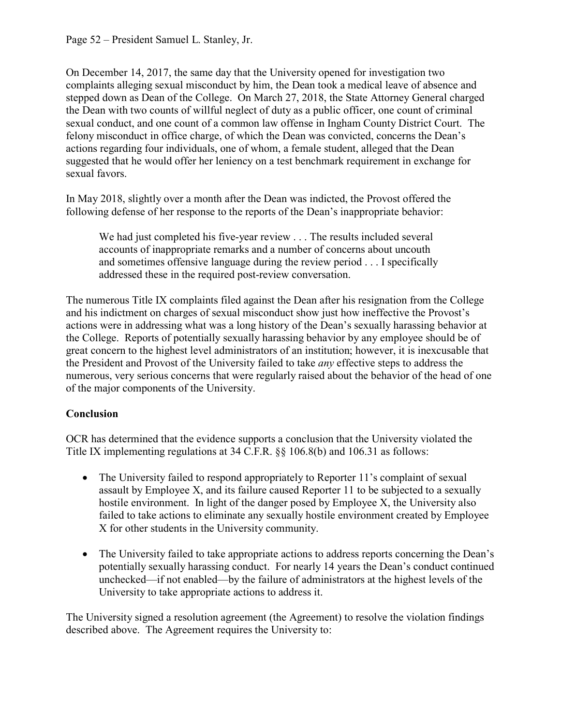On December 14, 2017, the same day that the University opened for investigation two complaints alleging sexual misconduct by him, the Dean took a medical leave of absence and stepped down as Dean of the College. On March 27, 2018, the State Attorney General charged the Dean with two counts of willful neglect of duty as a public officer, one count of criminal sexual conduct, and one count of a common law offense in Ingham County District Court. The felony misconduct in office charge, of which the Dean was convicted, concerns the Dean's actions regarding four individuals, one of whom, a female student, alleged that the Dean suggested that he would offer her leniency on a test benchmark requirement in exchange for sexual favors.

In May 2018, slightly over a month after the Dean was indicted, the Provost offered the following defense of her response to the reports of the Dean's inappropriate behavior:

We had just completed his five-year review . . . The results included several accounts of inappropriate remarks and a number of concerns about uncouth and sometimes offensive language during the review period . . . I specifically addressed these in the required post-review conversation.

The numerous Title IX complaints filed against the Dean after his resignation from the College and his indictment on charges of sexual misconduct show just how ineffective the Provost's actions were in addressing what was a long history of the Dean's sexually harassing behavior at the College. Reports of potentially sexually harassing behavior by any employee should be of great concern to the highest level administrators of an institution; however, it is inexcusable that the President and Provost of the University failed to take *any* effective steps to address the numerous, very serious concerns that were regularly raised about the behavior of the head of one of the major components of the University.

## **Conclusion**

OCR has determined that the evidence supports a conclusion that the University violated the Title IX implementing regulations at 34 C.F.R. §§ 106.8(b) and 106.31 as follows:

- The University failed to respond appropriately to Reporter 11's complaint of sexual assault by Employee X, and its failure caused Reporter 11 to be subjected to a sexually hostile environment. In light of the danger posed by Employee X, the University also failed to take actions to eliminate any sexually hostile environment created by Employee X for other students in the University community.
- The University failed to take appropriate actions to address reports concerning the Dean's potentially sexually harassing conduct. For nearly 14 years the Dean's conduct continued unchecked—if not enabled—by the failure of administrators at the highest levels of the University to take appropriate actions to address it.

The University signed a resolution agreement (the Agreement) to resolve the violation findings described above. The Agreement requires the University to: